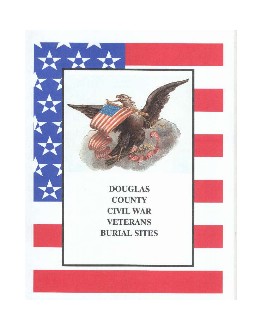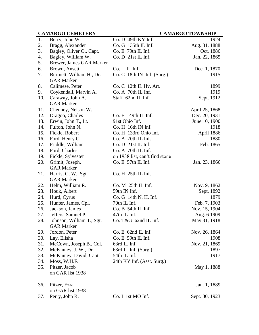# **CAMARGO CEMETERY CAMARGO TOWNSHIP**

| 1.  | Berry, John W.            | Co. D 49th KY Inf.             | 1924           |
|-----|---------------------------|--------------------------------|----------------|
| 2.  | Bragg, Alexander          | Co. G 135th IL Inf.            | Aug. 31, 1888  |
| 3.  | Bagley, Oliver O., Capt.  | Co. E 79th IL Inf.             | Oct. 1886      |
| 4.  | Bagley, William W.        | Co. D 21st IL Inf.             | Jan. 22, 1865  |
| 5.  | Brewer, James GAR Marker  |                                |                |
| 6.  | Brown, Ansett             | Co.<br>IL Inf.                 | Dec. 1, 1870   |
| 7.  | Burtnett, William H., Dr. | $Co. C$ 18th IN Inf. (Surg.)   | 1915           |
|     | <b>GAR Marker</b>         |                                |                |
| 8.  | Calimese, Peter           | Co. C 12th IL Hv. Art.         | 1899           |
| 9.  | Coykendall, Marvin A.     | Co. A 70th IL Inf.             | 1919           |
| 10. | Caraway, John A.          | Staff 62nd IL Inf.             | Sept. 1912     |
|     | <b>GAR Marker</b>         |                                |                |
| 11. | Chenney, Nelson W.        |                                | April 25, 1868 |
| 12. | Dragoo, Charles           | Co. F 149th IL Inf.            | Dec. 20, 1931  |
| 13. | Erwin, John T., Lt.       | 91st Ohio Inf.                 | June 10, 1900  |
| 14. | Fulton, John N.           | Co. H 16th IN Inf.             | 1918           |
| 15. | Fickle, Robert            | Co. H 133rd Ohio Inf.          | April 1886     |
| 16. | Ford, Henry C.            | Co. A 70th IL Inf.             | 1880           |
| 17. | Friddle, William          | Co. D. 21st IL Inf.            | Feb. 1865      |
| 18. | Ford, Charles             | Co. A 70th IL Inf.             |                |
| 19. | Fickle, Sylvester         | on 1938 list, can't find stone |                |
| 20. | Grimit, Joseph,           | Co. E 57th IL Inf.             | Jan. 23, 1866  |
|     | <b>GAR Marker</b>         |                                |                |
| 21. | Harris, G. W., Sgt.       | Co. H <sub>25th</sub> IL Inf.  |                |
|     | <b>GAR Marker</b>         |                                |                |
| 22. | Helm, William R.          | $Co. M$ 25th IL Inf.           | Nov. 9, 1862   |
| 23. | Houk, Albert              | 59th IN Inf.                   | Sept. 1892     |
| 24. | Hurd, Cyrus               | Co. G 14th N. H. Inf.          | 1879           |
| 25. | Hunter, James, Cpl.       | 70th IL Inf.                   | Feb. 7, 1903   |
| 26. | Jackson, James            | Co. B 54th IL Inf.             | Nov. 15, 1904  |
| 27. | Jeffers, Samuel P.        | 47th IL Inf.                   | Aug. 6 1909    |
| 28. | Johnson, William T., Sgt. | Co. T&G 62nd IL Inf.           | May 31, 1918   |
|     | <b>GAR Marker</b>         |                                |                |
| 29. | Jordon, Peter             | Co. E 62nd IL Inf.             | Nov. 26, 1864  |
| 30. | Lay, Elisha               | Co. E 59th IL Inf.             | 1908           |
| 31. | McCown, Joseph B., Col.   | 63rd IL Inf.                   | Nov. 21, 1869  |
| 32. | McKinney, J. W., Dr.      | 63rd IL Inf. (Surg.)           | 1897           |
| 33. | McKinney, David, Capt.    | 54th IL Inf.                   | 1917           |
| 34. | Moss, W.H.F.              | 24th KY Inf. (Asst. Surg.)     |                |
| 35. | Pitzer, Jacob             |                                | May 1, 1888    |
|     | on GAR list 1938          |                                |                |
| 36. | Pitzer, Ezra              |                                | Jan. 1, 1889   |
|     | on GAR list 1938          |                                |                |
| 37. | Perry, John R.            | Co. I 1st MO Inf.              | Sept. 30, 1923 |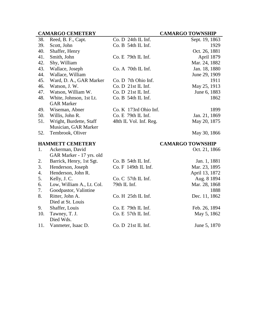|     | <b>CAMARGO CEMETERY</b>   |                        | <b>CAMARGO TOWNSHIP</b> |
|-----|---------------------------|------------------------|-------------------------|
| 38. | Reed, B. F., Capt.        | Co. D. 24th IL Inf.    | Sept. 19, 1863          |
| 39. | Scott, John               | Co. B 54th IL Inf.     | 1929                    |
| 40. | Shaffer, Henry            |                        | Oct. 26, 1881           |
| 41. | Smith, John               | $Co. E$ 79th IL Inf.   | April 1879              |
| 42. | Shy, William              |                        | Mar. 24, 1882           |
| 43. | Wallace, Joseph           | Co. A 70th IL Inf.     | Jan. 18, 1880           |
| 44. | Wallace, William          |                        | June 29, 1909           |
| 45. | Ward, D. A., GAR Marker   | Co. D 7th Ohio Inf.    | 1911                    |
| 46. | Watson, J. W.             | Co. D 21st IL Inf.     | May 25, 1913            |
| 47. | Watson, William W.        | Co. D 21st IL Inf.     | June 6, 1883            |
| 48. | White, Johnson, 1st Lt.   | Co. B 54th IL Inf.     | 1862                    |
|     | <b>GAR Marker</b>         |                        |                         |
| 49. | Wiseman, Abner            | Co. K 173rd Ohio Inf.  | 1899                    |
| 50. | Willis, John R.           | Co. E 79th IL Inf.     | Jan. 21, 1869           |
| 51. | Wright, Burdette, Staff   | 48th IL Vol. Inf. Reg. | May 20, 1875            |
|     | Musician, GAR Marker      |                        |                         |
| 52. | Tembrook, Oliver          |                        | May 30, 1866            |
|     | <b>HAMMETT CEMETERY</b>   |                        | <b>CAMARGO TOWNSHIP</b> |
| 1.  | Ackerman, David           |                        | Oct. 21, 1866           |
|     | GAR Marker - 17 yrs. old  |                        |                         |
| 2.  | Barrick, Henry, 1st Sgt.  | $Co. B$ 54th IL Inf.   | Jan. 1, 1881            |
| 3.  | Henderson, Joseph         | Co. F 149th IL Inf.    | Mar. 23, 1895           |
| 4.  | Henderson, John R.        |                        | April 13, 1872          |
| 5.  | Kelly, J.C.               | Co. C 57th IL Inf.     | Aug. 8 1894             |
| 6.  | Low, William A., Lt. Col. | 79th IL Inf.           | Mar. 28, 1868           |
| 7.  | Goodpastor, Valintine     |                        | 1888                    |
| 8.  | Ritter, John A.           | Co. H 25th IL Inf.     | Dec. 11, 1862           |
|     | Died at St. Louis         |                        |                         |
| 9.  | Shaffer, Louis            | Co. E 79th IL Inf.     | Feb. 26, 1894           |
| 10. | Tawney, T. J.             | Co. E 57th IL Inf.     | May 5, 1862             |
|     | Died Wds.                 |                        |                         |

11. Vanmeter, Isaac D. Co. D 21st IL Inf. June 5, 1870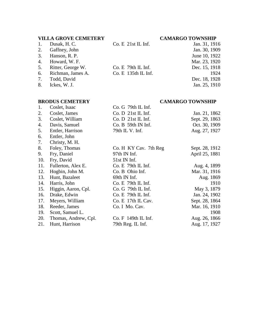# **VILLA GROVE CEMETERY CAMARGO TOWNSHIP**

| 1. | Dusak, H. C.      | $Co. E$ 21st IL Inf.  | Jan. 31, 1916 |
|----|-------------------|-----------------------|---------------|
| 2. | Gaffney, John     |                       | Jan. 30, 1909 |
| 3. | Hanson, R. P.     |                       | June 10, 1922 |
| 4. | Howard, W. F.     |                       | Mar. 23, 1920 |
| 5. | Ritter, George W. | Co. E 79th IL Inf.    | Dec. 15, 1918 |
| 6. | Richman, James A. | $Co. E$ 135th IL Inf. | 1924          |
| 7. | Todd, David       |                       | Dec. 18, 1928 |
| 8. | Ickes, W. J.      |                       | Jan. 25, 1910 |
|    |                   |                       |               |
|    |                   |                       |               |

# **BRODUS CEMETERY CAMARGO TOWNSHIP**

| 1.  | Coslet, Isaac        | $Co. G$ 79th IL Inf.  |                |
|-----|----------------------|-----------------------|----------------|
| 2.  | Coslet, James        | Co. D 21st IL Inf.    | Jan. 21, 1862  |
| 3.  | Coslet, William      | Co. D 21st IL Inf.    | Sept. 29, 1863 |
| 4.  | Davis, Samuel        | Co. B 59th IN Inf.    | Oct. 30, 1909  |
| 5.  | Entler, Harrison     | 79th IL V. Inf.       | Aug. 27, 1927  |
| 6.  | Entler, John         |                       |                |
| 7.  | Christy, M. H.       |                       |                |
| 8.  | Foley, Thomas        | Co. H KY Cav. 7th Reg | Sept. 28, 1912 |
| 9.  | Fry, Daniel          | 97th IN Inf.          | April 25, 1881 |
| 10. | Fry, David           | $51st$ IN Inf.        |                |
| 11. | Fullerton, Alex E.   | $Co. E$ 79th IL Inf.  | Aug. 4, 1899   |
| 12. | Hogbin, John M.      | Co. B Ohio Inf.       | Mar. 31, 1916  |
| 13. | Hunt, Bazaleet       | 69th IN Inf.          | Aug. 1869      |
| 14. | Harris, John         | $Co. E$ 79th IL Inf.  | 1910           |
| 15. | Higgin, Aaron, Cpl.  | $Co. G$ 79th IL Inf.  | May 3, 1879    |
| 16. | Drake, Edwin         | $Co. E$ 79th IL Inf.  | Jan. 24, 1902  |
| 17. | Meyers, William      | Co. E 17th IL Cav.    | Sept. 28, 1864 |
| 18. | Reeder, James        | Co. I Mo. Cav.        | Mar. 16, 1910  |
| 19. | Scott, Samuel L.     |                       | 1908           |
| 20. | Thomas, Andrew, Cpl. | Co. F 149th IL Inf.   | Aug. 26, 1866  |
| 21. | Hunt, Harrison       | 79th Reg. IL Inf.     | Aug. 17, 1927  |
|     |                      |                       |                |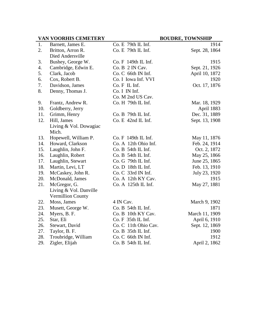# **VAN VOORHIS CEMETERY BOUDRE, TOWNSHIP**

| 1.  | Barnett, James E.        | Co. E 79th IL Inf.   | 1914           |
|-----|--------------------------|----------------------|----------------|
| 2.  | Britton, Arron R.        | Co. E 79th IL Inf.   | Sept. 28, 1864 |
|     | Died Andersville         |                      |                |
| 3.  | Bushey, George W.        | Co. F 149th IL Inf.  | 1915           |
| 4.  | Cambridge, Edwin E.      | Co. B 2 IN Cav.      | Sept. 21, 1926 |
| 5.  | Clark, Jacob             | Co. C 66th IN Inf.   | April 10, 1872 |
| 6.  | Cox, Robert B.           | Co. I Iowa Inf. VVI  | 1920           |
| 7.  | Davidson, James          | Co. F IL Inf.        | Oct. 17, 1876  |
| 8.  | Denny, Thomas J.         | Co. I IN Inf.        |                |
|     |                          | Co. M 2nd US Cav.    |                |
| 9.  | Frantz, Andrew R.        | Co. H 79th IL Inf.   | Mar. 18, 1929  |
| 10. | Goldberry, Jerry         |                      | April 1883     |
| 11. | Grimm, Henry             | Co. B 79th IL Inf.   | Dec. 31, 1889  |
| 12. | Hill, James              | Co. E 42nd IL Inf.   | Sept. 13, 1908 |
|     | Living & Vol. Dowagiac   |                      |                |
|     | Mich.                    |                      |                |
| 13. | Hopewell, William P.     | Co. F 149th IL Inf.  | May 11, 1876   |
| 14. | Howard, Clarkson         | Co. A 12th Ohio Inf. | Feb. 24, 1914  |
| 15. | Laughlin, John F.        | Co. B 54th IL Inf.   | Oct. 2, 1872   |
| 16. | Laughlin, Robert         | Co. B 54th IL Inf.   | May 25, 1866   |
| 17. | Laughlin, Stewart        | Co. G 79th IL Inf.   | June 25, 1865  |
| 18. | Martin, Levi, LT         | Co. D 18th IL Inf.   | Feb. 13, 1910  |
| 19. | McCaskey, John R.        | Co. C 33rd IN Inf.   | July 23, 1920  |
| 20. | McDonald, James          | Co. A 12th KY Cav.   | 1915           |
| 21. | McGregor, G.             | Co. A 125th IL Inf.  | May 27, 1881   |
|     | Living & Vol. Danville   |                      |                |
|     | <b>Vermillion County</b> |                      |                |
| 22. | Moss, James              | 4 IN Cav.            | March 9, 1902  |
| 23. | Musett, George W.        | Co. B 54th IL Inf.   | 1871           |
| 24. | Myers, B. F.             | Co. B 10th KY Cav.   | March 11, 1909 |
| 25. | Star, Eli                | Co. F 35th IL Inf.   | April 6, 1910  |
| 26. | Stewart, David           | Co. C 11th Ohio Cav. | Sept. 12, 1869 |
| 27. | Taylor, B. F.            | Co. B 35th IL Inf.   | 1900           |
| 28. | Troubridge, William      | Co. C 66th IN Inf.   | 1912           |
| 29. | Zigler, Elijah           | Co. B 54th IL Inf.   | April 2, 1862  |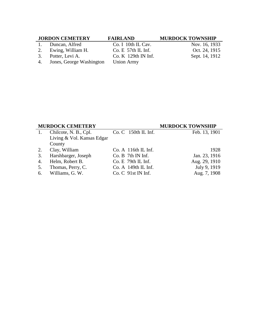# **JORDON CEMETERY FAIRLAND MURDOCK TOWNSHIP**

1. Duncan, Alfred Co. I 10th IL Cav. Nov. 16, 1933<br>
2. Ewing, William H. Co. E 57th IL Inf. Oct. 24, 1915

- 
- 

2. Ewing, William H. Co. E 57th IL Inf. Oct. 24, 1915<br>
3. Potter, Levi A. Co. K 129th IN Inf. Sept. 14, 1912

3. Potter, Levi A. Co. K 129th IN Inf.<br>4. Jones, George Washington Union Army 4. Jones, George Washington

# **MURDOCK CEMETERY MURDOCK TOWNSHIP**

| 1. | Chilcote, N. B., Cpl.      | $Co. C$ 150th IL Inf. | Feb. 13, 1901 |
|----|----------------------------|-----------------------|---------------|
|    | Living & Vol. Kansas Edgar |                       |               |
|    | County                     |                       |               |
| 2. | Clay, William              | $Co. A$ 116th IL Inf. | 1928          |
|    | 3. Harshbarger, Joseph     | $Co. B$ 7th IN Inf.   | Jan. 23, 1916 |
|    | 4. Helm, Robert B.         | $Co. E$ 79th IL Inf.  | Aug. 29, 1910 |
| 5. | Thomas, Perry, C.          | $Co. A$ 149th IL Inf. | July 9, 1919  |
|    | 6. Williams, G. W.         | Co. C. 91st IN Inf.   | Aug. 7, 1908  |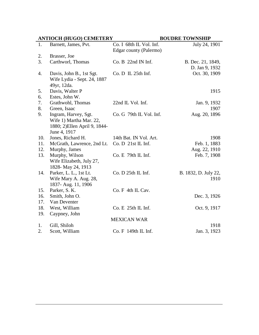| <b>ANTIOCH (HUGO) CEMETERY</b> |                                                                                                  |                                                   | <b>BOUDRE TOWNSHIP</b>              |
|--------------------------------|--------------------------------------------------------------------------------------------------|---------------------------------------------------|-------------------------------------|
| 1.                             | Barnett, James, Pvt.                                                                             | Co. I 68th IL Vol. Inf.<br>Edgar county (Palermo) | July 24, 1901                       |
| 2.                             | Brasser, Joe                                                                                     |                                                   |                                     |
| 3.                             | Carthworl, Thomas                                                                                | $Co. B$ 22nd IN Inf.                              | B. Dec. 21, 1849,<br>D. Jan 9, 1932 |
| 4.                             | Davis, John B., 1st Sgt.<br>Wife Lydia - Sept. 24, 1887<br>49yr, 12da.                           | $Co.D$ IL $25th$ Inf.                             | Oct. 30, 1909                       |
| 5.<br>6.                       | Davis, Walter P<br>Estes, John W.                                                                |                                                   | 1915                                |
| 7.<br>8.                       | Grathwohl, Thomas<br>Green, Isaac                                                                | 22nd IL Vol. Inf.                                 | Jan. 9, 1932<br>1907                |
| 9.                             | Ingram, Harvey, Sgt.<br>Wife 1) Martha Mar. 22,<br>1880; 2) Ellen April 9, 1844-<br>June 4, 1917 | Co. G 79th IL Vol. Inf.                           | Aug. 20, 1896                       |
| 10.                            | Jones, Richard H.                                                                                | 14th Bat. IN Vol. Art.                            | 1908                                |
| 11.                            | McGrath, Lawrence, 2nd Lt.                                                                       | Co. D 21st IL Inf.                                | Feb. 1, 1883                        |
| 12.                            | Murphy, James                                                                                    |                                                   | Aug. 22, 1910                       |
| 13.                            | Murphy, Wilson<br>Wife Elizabeth, July 27,<br>1828-May 24, 1913                                  | Co. E 79th IL Inf.                                | Feb. 7, 1908                        |
| 14.                            | Parker, L. L., 1st Lt.<br>Wife Mary A. Aug. 28,<br>1837- Aug. 11, 1906                           | Co. D 25th IL Inf.                                | B. 1832, D. July 22,<br>1910        |
| 15.                            | Parker, S. K.                                                                                    | Co. F 4th IL Cav.                                 |                                     |
| 16.                            | Smith, John O.                                                                                   |                                                   | Dec. 3, 1926                        |
| 17.                            | Van Deventer                                                                                     |                                                   |                                     |
| 18.                            | West, William                                                                                    | $Co. E$ 25th IL Inf.                              | Oct. 9, 1917                        |
| 19.                            | Caypney, John                                                                                    | <b>MEXICAN WAR</b>                                |                                     |
| 1.                             | Gill, Shiloh                                                                                     |                                                   | 1918                                |
| 2.                             | Scott, William                                                                                   | Co. F 149th IL Inf.                               | Jan. 3, 1923                        |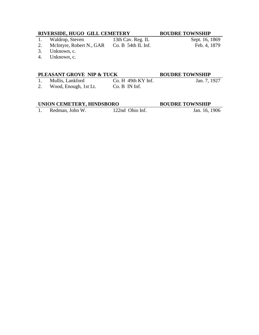# **RIVERSIDE, HUGO GILL CEMETERY BOUDRE TOWNSHIP**

- 1. Waldrop, Steven 13th Cav. Reg. IL Sept. 16, 1869 2. McIntyre, Robert N., GAR Co. B 54th IL Inf. Feb. 4, 1879
- 
- 3. Unknown, c.
- 4. Unknown, c.

# **PLEASANT GROVE NIP & TUCK BOUDRE TOWNSHIP**

# 1. Mullis, Lankford Co. H 49th KY Inf. Jan. 7, 1927

2. Wood, Enough, 1st Lt. Co. B IN Inf.

# **UNION CEMETERY, HINDSBORO BOUDRE TOWNSHIP**

1. Redman, John W. 122nd Ohio Inf. Jan. 16, 1906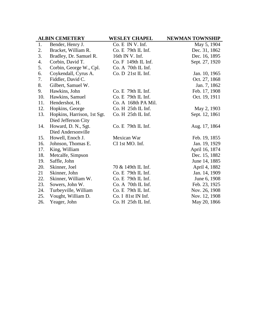|     | <b>ALBIN CEMETERY</b>       | <b>WESLEY CHAPEL</b> | <b>NEWMAN TOWNSHIP</b> |
|-----|-----------------------------|----------------------|------------------------|
| 1.  | Bender, Henry J.            | Co. E IN V. Inf.     | May 5, 1904            |
| 2.  | Bracket, William R.         | $Co. E$ 79th IL Inf. | Dec. 31, 1862          |
| 3.  | Bradley, Dr. Samuel R.      | 16th IN V. Inf.      | Dec. 16, 1895          |
| 4.  | Corbin, David T.            | Co. F 149th IL Inf.  | Sept. 27, 1920         |
| 5.  | Corbin, George W., Cpl.     | Co. A 70th IL Inf.   |                        |
| 6.  | Coykendall, Cyrus A.        | Co. D 21st IL Inf.   | Jan. 10, 1965          |
| 7.  | Fiddler, David C.           |                      | Oct. 27, 1868          |
| 8.  | Gilbert, Samuel W.          |                      | Jan. 7, 1862           |
| 9.  | Hawkins, John               | $Co. E$ 79th IL Inf. | Feb. 17, 1908          |
| 10. | Hawkins, Samuel             | Co. E 79th IL Inf.   | Oct. 19, 1911          |
| 11. | Hendershot, H.              | Co. A 168th PA Mil.  |                        |
| 12. | Hopkins, George             | Co. H 25th IL Inf.   | May 2, 1903            |
| 13. | Hopkins, Harrison, 1st Sgt. | Co. H 25th IL Inf.   | Sept. 12, 1861         |
|     | Died Jefferson City         |                      |                        |
| 14. | Howard, D. N., Sgt.         | $Co. E$ 79th IL Inf. | Aug. 17, 1864          |
|     | Died Andersonville          |                      |                        |
| 15. | Howell, Enoch J.            | Mexican War          | Feb. 19, 1855          |
| 16. | Johnson, Thomas E.          | CI 1st MO. Inf.      | Jan. 19, 1929          |
| 17. | King, William               |                      | April 16, 1874         |
| 18. | Metcalfe, Simpson           |                      | Dec. 15, 1882          |
| 19. | Saffle, John                |                      | June 14, 1885          |
| 20. | Skinner, Joel               | 70 & 149th IL Inf.   | April 4, 1882          |
| 21  | Skinner, John               | Co. E 79th IL Inf.   | Jan. 14, 1909          |
| 22. | Skinner, William W.         | Co. E 79th IL Inf.   | June 6, 1908           |
| 23. | Sowers, John W.             | Co. A 70th IL Inf.   | Feb. 23, 1925          |
| 24. | Turbeyville, William        | $Co. E$ 79th IL Inf. | Nov. 26, 1908          |
| 25. | Vought, William D.          | Co. I 81st IN Inf.   | Nov. 12, 1908          |
| 26. | Yeager, John                | Co. H 25th IL Inf.   | May 20, 1866           |
|     |                             |                      |                        |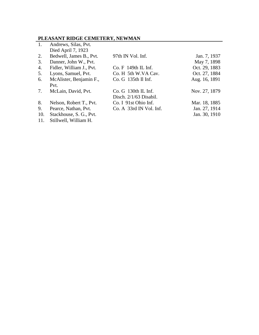# **PLEASANT RIDGE CEMETERY, NEWMAN**

| 1.  | Andrews, Silas, Pvt.     |                          |               |
|-----|--------------------------|--------------------------|---------------|
|     | Died April 7, 1923       |                          |               |
| 2.  | Bedwell, James B., Pvt.  | 97th IN Vol. Inf.        | Jan. 7, 1937  |
| 3.  | Danner, John W., Pvt.    |                          | May 7, 1898   |
| 4.  | Fidler, William J., Pvt. | $Co. F$ 149th IL Inf.    | Oct. 29, 1883 |
| 5.  | Lyons, Samuel, Pvt.      | Co. H 5th W.VA Cav.      | Oct. 27, 1884 |
| 6.  | McAlister, Benjamin F.,  | Co. G 135th Il Inf.      | Aug. 16, 1891 |
|     | Pvt.                     |                          |               |
| 7.  | McLain, David, Pvt.      | Co. G 130th IL Inf.      | Nov. 27, 1879 |
|     |                          | Disch. $2/1/63$ Disabil. |               |
| 8.  | Nelson, Robert T., Pvt.  | Co. I 91st Ohio Inf.     | Mar. 18, 1885 |
| 9.  | Pearce, Nathan, Pvt.     | Co. A 33rd IN Vol. Inf.  | Jan. 27, 1914 |
| 10. | Stackhouse, S. G., Pvt.  |                          | Jan. 30, 1910 |
| 11. | Stillwell, William H.    |                          |               |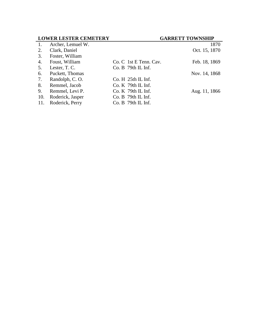| <b>LOWER LESTER CEMETERY</b> |                               | <b>GARRETT TOWNSHIP</b> |
|------------------------------|-------------------------------|-------------------------|
| Archer, Lemuel W.            |                               | 1870                    |
| Clark, Daniel                |                               | Oct. 15, 1870           |
| Foster, William              |                               |                         |
| Foust, William               | Co. C 1st E Tenn. Cav.        | Feb. 18, 1869           |
| Lester, T. C.                | $Co. B$ 79th IL Inf.          |                         |
| Puckett, Thomas              |                               | Nov. 14, 1868           |
| Randolph, C.O.               | Co. H <sub>25th</sub> IL Inf. |                         |
| Remmel, Jacob                | $Co. K$ 79th IL Inf.          |                         |
| Remmel, Levi P.              | $Co. K$ 79th IL Inf.          | Aug. 11, 1866           |
| Roderick, Jasper             | $Co. B$ 79th IL Inf.          |                         |
| Roderick, Perry              | Co. B 79th IL Inf.            |                         |
|                              |                               |                         |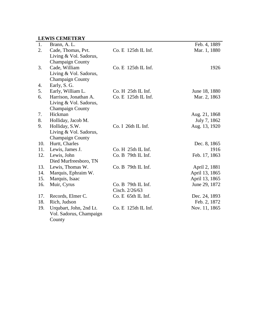# **LEWIS CEMETERY**

| $\overline{1}$ . | Brann, A. L.            |                      | Feb. 4, 1889   |
|------------------|-------------------------|----------------------|----------------|
| 2.               | Cade, Thomas, Pvt.      | Co. E 125th IL Inf.  | Mar. 1, 1880   |
|                  | Living & Vol. Sadorus,  |                      |                |
|                  | <b>Champaign County</b> |                      |                |
| 3.               | Cade, William           | Co. E 125th IL Inf.  | 1926           |
|                  | Living & Vol. Sadorus,  |                      |                |
|                  | <b>Champaign County</b> |                      |                |
| 4.               | Early, S. G.            |                      |                |
| 5.               | Early, William L.       | Co. H 25th IL Inf.   | June 18, 1880  |
| 6.               | Harrison, Jonathan A.   | Co. E 125th IL Inf.  | Mar. 2, 1863   |
|                  | Living & Vol. Sadorus,  |                      |                |
|                  | <b>Champaign County</b> |                      |                |
| 7.               | Hickman                 |                      | Aug. 21, 1868  |
| 8.               | Holliday, Jacob M.      |                      | July 7, 1862   |
| 9.               | Holliday, S.W.          | Co. I 26th IL Inf.   | Aug. 13, 1920  |
|                  | Living & Vol. Sadorus,  |                      |                |
|                  | <b>Champaign County</b> |                      |                |
| 10.              | Hurtt, Charles          |                      | Dec. 8, 1865   |
| 11.              | Lewis, James J.         | Co. H 25th IL Inf.   | 1916           |
| 12.              | Lewis, John             | Co. B 79th IL Inf.   | Feb. 17, 1863  |
|                  | Died Murfreesboro, TN   |                      |                |
| 13.              | Lewis, Thomas W.        | $Co. B$ 79th IL Inf. | April 2, 1881  |
| 14.              | Marquis, Ephraim W.     |                      | April 13, 1865 |
| 15.              | Marquis, Isaac          |                      | April 13, 1865 |
| 16.              | Muir, Cyrus             | Co. B 79th IL Inf.   | June 29, 1872  |
|                  |                         | Cisch. 2/26/63       |                |
| 17.              | Records, Elmer C.       | Co. E 65th IL Inf.   | Dec. 24, 1893  |
| 18.              | Rich, Judson            |                      | Feb. 2, 1872   |
| 19.              | Urqubart, John, 2nd Lt. | Co. E 125th IL Inf.  | Nov. 11, 1865  |
|                  | Vol. Sadorus, Champaign |                      |                |
|                  | County                  |                      |                |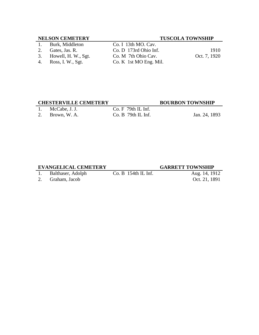# **NELSON CEMETERY TUSCOLA TOWNSHIP**

- 
- 
- 
- 4. Ross, I. W., Sgt. Co. K 1st MO Eng. Mil.

# 1. Burk, Middleton Co. I 13th MO. Cav. 2. Gates, Jas. R. Co. D 173rd Ohio Inf. 1910<br>
3. Howell, H. W., Sgt. Co. M 7th Ohio Cav. Oct. 7, 1920

3. Howell, H. W., Sgt. Co. M 7th Ohio Cav. Oct. 7, 1920<br>4. Ross, I. W., Sgt. Co. K 1st MO Eng. Mil.

# **CHESTERVILLE CEMETERY BOURBON TOWNSHIP**

1. McCabe, J. J. Co. F 79th IL Inf.

2. Brown, W. A. Co. B 79th IL Inf. Jan. 24, 1893

# **EVANGELICAL CEMETERY GARRETT TOWNSHIP**

1. Balthaser, Adolph Co. B 154th IL Inf. Aug. 14, 1912

2. Graham, Jacob Oct. 21, 1891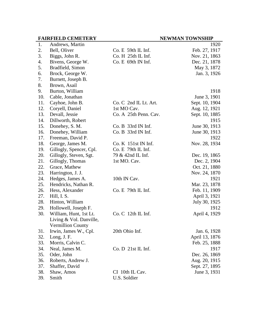|     | <b>FAIRFIELD CEMETERY</b> |                        | <b>NEWMAN TOWNSHIP</b> |
|-----|---------------------------|------------------------|------------------------|
| 1.  | Andrews, Martin           |                        | 1920                   |
| 2.  | Bell, Oliver              | Co. E 59th IL Inf.     | Feb. 27, 1917          |
| 3.  | Biggs, John R.            | Co. H 25th IL Inf.     | Nov. 21, 1863          |
| 4.  | Bivens, George W.         | Co. E 69th IN Inf.     | Dec. 21, 1878          |
| 5.  | Bradfield, Simon          |                        | May 3, 1872            |
| 6.  | Brock, George W.          |                        | Jan. 3, 1926           |
| 7.  | Burnett, Joseph B.        |                        |                        |
| 8.  | Brown, Asail              |                        |                        |
| 9.  | Burton, William           |                        | 1918                   |
| 10. | Cable, Jonathan           |                        | June 3, 1901           |
| 11. | Cayhoe, John B.           | Co. C. 2nd IL Lt. Art. | Sept. 10, 1904         |
| 12. | Coryell, Daniel           | 1st MO Cav.            | Aug. 12, 1921          |
| 13. | Devall, Jessie            | Co. A 25th Penn. Cav.  | Sept. 10, 1885         |
| 14. | Dillworth, Robert         |                        | 1915                   |
| 15. | Donehey, S. M.            | Co. B 33rd IN Inf.     | June 30, 1913          |
| 16. | Donehey, William          | Co. B 33rd IN Inf.     | June 30, 1913          |
| 17. | Freeman, David P.         |                        | 1922                   |
| 18. | George, James M.          | Co. K 151st IN Inf.    | Nov. 28, 1934          |
| 19. | Gillogly, Spencer, Cpl.   | $Co. E$ 79th IL Inf.   |                        |
| 20. | Gillogly, Steven, Sgt.    | 79 & 42nd IL Inf.      | Dec. 19, 1865          |
| 21. | Gillogly, Thomas          | 1st MO. Cav.           | Dec. 2, 1904           |
| 22. | Grace, Mathew             |                        | Oct. 21, 1880          |
| 23. | Harrington, J. J.         |                        | Nov. 24, 1870          |
| 24. | Hedges, James A.          | 10th IN Cav.           | 1921                   |
| 25. | Hendricks, Nathan R.      |                        | Mar. 23, 1878          |
| 26. | Hess, Alexander           | $Co. E$ 79th IL Inf.   | Feb. 11, 1909          |
| 27. | Hill, I. S.               |                        | April 3, 1921          |
| 28. | Hinton, William           |                        | July 30, 1925          |
| 29. | Hollowell, Joseph F.      |                        | 1912                   |
| 30. | William, Hunt, 1st Lt.    | $Co. C$ 12th IL Inf.   | April 4, 1929          |
|     | Living & Vol. Danville,   |                        |                        |
|     | Vermillion County         |                        |                        |
| 31. | Irwin, James W., Cpl.     | 20th Ohio Inf.         | Jan. 6, 1928           |
| 32. | Long, J.F.                |                        | April 13, 1876         |
| 33. | Morris, Calvin C.         |                        | Feb. 25, 1888          |
| 34. | Neal, James M.            | Co. D. 21st IL Inf.    | 1917                   |
| 35. | Oder, John                |                        | Dec. 26, 1869          |
| 36. | Roberts, Andrew J.        |                        | Aug. 20, 1915          |
| 37. | Shaffer, David            |                        | Sept. 27, 1895         |
| 38. | Shaw, Amos                | CI 10th IL Cav.        | June 3, 1931           |
| 39. | Smith                     | U.S. Soldier           |                        |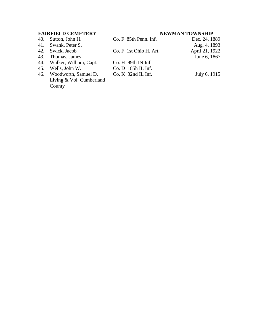# **FAIRFIELD CEMETERY NEWMAN TOWNSHIP**

- 
- 41. Swank, Peter S. Aug. 4, 1893
- 
- 43. Thomas, James
- 44. Walker, William, Capt. Co. H 99th IN Inf.
- 
- 46. Woodworth, Samuel D. Living & Vol. Cumberland County

40. Sutton, John H. Co. F 85th Penn. Inf. Dec. 24, 1889

45. Wells, John W. Co. D 185h IL Inf.

Co. K 32nd IL Inf. July 6, 1915

42. Swick, Jacob Co. F 1st Ohio H. Art. April 21, 1922<br>43. Thomas, James Co. F 1st Ohio H. Art. June 6, 1867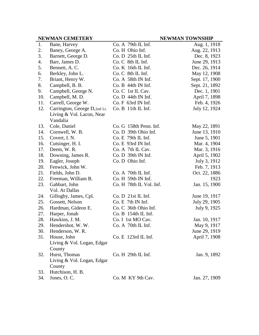|     | <b>NEWMAN CEMETERY</b>        |                         | <b>NEWMAN TOWNSHIP</b> |
|-----|-------------------------------|-------------------------|------------------------|
| 1.  | Bane, Harvey                  | Co. A 79th IL Inf.      | Aug. 1, 1918           |
| 2.  | Baney, George A.              | Co. H Ohio Inf.         | Aug. 22, 1913          |
| 3.  | Barnett, George D.            | Co. D 25th IL Inf.      | Dec. 8, 1923           |
| 4.  | Barr, James D.                | Co. C 8th IL Inf.       | June 29, 1913          |
| 5.  | Bennett, A.C.                 | Co. K 16th IL Inf.      | Dec. 26, 1914          |
| 6.  | Berkley, John L.              | Co. C 8th IL Inf.       | May 12, 1908           |
| 7.  | Briant, Henry W.              | Co. A 58th IN Inf.      | Sept. 17, 1900         |
| 8.  | Campbell, B. B.               | Co. B 44th IN Inf.      | Sept. 21, 1892         |
| 9.  | Campbell, George N.           | Co. C 1st IL Cav.       | Dec. 1, 1901           |
| 10. | Campbell, M. D.               | Co.D. 44th IN Inf.      | April 7, 1898          |
| 11. | Carrell, George W.            | Co. F 63rd IN Inf.      | Feb. 4, 1926           |
| 12. | Carrington, George D, 2nd Lt. | Co. B 11th IL Inf.      | July 12, 1924          |
|     | Living & Vol. Lacon, Near     |                         |                        |
|     | Vandalia                      |                         |                        |
| 13. | Cole, Daniel                  | Co. G 158th Penn. Inf.  | May 22, 1891           |
| 14. | Cornwell, W. B.               | Co. D 39th Ohio Inf.    | June 13, 1910          |
| 15. | Covert, I. N.                 | Co. E 79th IL Inf.      | June 5, 1901           |
| 16. | Cutsinger, H. I.              | Co. E 93rd IN Inf.      | Mar. 4, 1904           |
| 17. | Deem, W.R.                    | Co. A 7th IL Cav.       | Mar. 3, 1916           |
| 18. | Downing, James R.             | Co. D 39th IN Inf.      | April 5, 1902          |
| 19. | Eagler, Joseph                | Co. D Ohio Inf.         | July 3, 1912           |
| 20. | Fenwick, John W.              |                         | Feb. 7, 1913           |
| 21. | Fields, John D.               | Co. A 70th IL Inf.      | Oct. 22, 1886          |
| 22. | Freeman, William B.           | Co. H 59th IN Inf.      | 1923                   |
| 23. | Gabbart, John                 | Co. H 78th IL Vol. Inf. | Jan. 15, 1900          |
|     | Vol. At Dallas                |                         |                        |
| 24. | Gillogby, James, Cpl.         | Co. D 21st IL Inf.      | June 19, 1917          |
| 25. | Gossett, Nelson               | Co. E 7th IN Inf.       | July 29, 1905          |
| 26. | Hardman, Gideon E.            | Co. C 36th Ohio Inf.    | July 9, 1925           |
| 27. | Harper, Jonah                 | Co. B 154th IL Inf.     |                        |
| 28. | Hawkins, J. M.                | Co. I 1st MO Cav.       | Jan. 10, 1917          |
| 29. | Hendershot, W. W.             | Co. A 70th IL Inf.      | May 9, 1917            |
| 30. | Henderson, W. R.              |                         | June 29, 1919          |
| 31. | House, John                   | $Co. E$ 123rd IL Inf.   | April 7, 1908          |
|     | Living & Vol. Logan, Edgar    |                         |                        |
|     | County                        |                         |                        |
| 32. | Hurst, Thomas                 | Co. H 29th IL Inf.      | Jan. 9, 1892           |
|     | Living & Vol. Logan, Edgar    |                         |                        |
|     | County                        |                         |                        |
| 33. | Hutchison, H. B.              |                         |                        |
| 34. | Jones, O.C.                   | Co. M KY 9th Cav.       | Jan. 27, 1909          |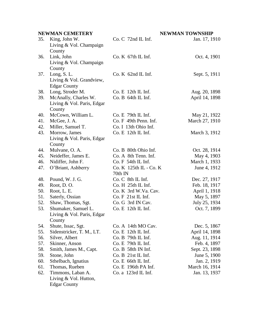|     | <b>NEWMAN CEMETERY</b>     |                        | <b>NEWMAN TOWNSHIP</b> |
|-----|----------------------------|------------------------|------------------------|
| 35. | King, John W.              | $Co. C$ 72nd IL Inf.   | Jan. 17, 1910          |
|     | Living & Vol. Champaign    |                        |                        |
|     | County                     |                        |                        |
| 36. | Link, John                 | $Co. K$ 67th IL Inf.   | Oct. 4, 1901           |
|     | Living & Vol. Champaign    |                        |                        |
|     | County                     |                        |                        |
| 37. | Long, $S.L.$               | $Co. K$ 62nd IL Inf.   | Sept. 5, 1911          |
|     | Living & Vol. Grandview,   |                        |                        |
|     | <b>Edgar County</b>        |                        |                        |
| 38. | Long, Stroder M.           | $Co. E$ 12th IL Inf.   | Aug. 20, 1898          |
| 39. | McAnally, Charles W.       | Co. B 64th IL Inf.     | April 14, 1898         |
|     | Living & Vol. Paris, Edgar |                        |                        |
|     | County                     |                        |                        |
| 40. | McCown, William L.         | $Co. E$ 79th IL Inf.   | May 21, 1922           |
| 41. | McGee, J. A.               | Co. F 49th Penn. Inf.  | March 27, 1910         |
| 42. | Miller, Samuel T.          | Co. I 13th Ohio Inf.   |                        |
| 43. | Morrow, James              | Co. E 12th IL Inf.     | March 3, 1912          |
|     | Living & Vol. Paris, Edgar |                        |                        |
|     | County                     |                        |                        |
| 44. | Mulvane, O. A.             | Co. B 80th Ohio Inf.   | Oct. 28, 1914          |
| 45. | Neideffer, James E.        | Co. A 8th Tenn. Inf.   | May 4, 1903            |
| 46. | Nidiffer, John F.          | Co. F 54th IL Inf.     | March 1, 1933          |
| 47. | O'Briant, Ashberry         | Co. K 125th IL - Co. K | June 4, 1912           |
|     |                            | 70th IN                |                        |
| 48. | Pound, W. J. G.            | Co. C 8th IL Inf.      | Dec. 27, 1917          |
| 49. | Root, D.O.                 | Co. H 25th IL Inf.     | Feb. 18, 1917          |
| 50. | Root, L. E.                | Co. K 3rd W.Va. Cav.   | April 1, 1918          |
| 51. | Saterly, Ossian            | Co. F 21st IL Inf.     | May 5, 1897            |
| 52. | Shaw, Thomas, Sgt.         | Co. G 3rd IN Cav.      | July 25, 1934          |
| 53. | Shumaker, Samuel L.        | Co. E 12th IL Inf.     | Oct. 7, 1899           |
|     | Living & Vol. Paris, Edgar |                        |                        |
|     | County                     |                        |                        |
| 54. | Shute, Issac, Sgt.         | Co. A 14th MO Cav.     | Dec. 5, 1867           |
| 55. | Sidenstricker, T. M., LT.  | $Co. E$ 12th IL Inf.   | April 14, 1898         |
| 56. | Silver, Albert             | Co. B 79th IL Inf.     | Aug. 11, 1914          |
| 57. | Skinner, Anson             | Co. E 79th IL Inf.     | Feb. 4, 1897           |
| 58. | Smith, James M., Capt.     | Co. B 58th IN Inf.     | Sept. 23, 1898         |
| 59. | Stone, John                | Co. B 21st IL Inf.     | June 5, 1900           |
| 60. | Sthelbach, Ignatius        | $Co. E$ 66th IL Inf.   | Jan. 2, 1919           |
| 61. | Thomas, Rueben             | Co. E 196th PA Inf.    | March 16, 1914         |
| 62. | Timmons, Laban A.          | Co. a 123rd IL Inf.    | Jan. 13, 1937          |
|     | Living & Vol. Hutton,      |                        |                        |
|     | <b>Edgar County</b>        |                        |                        |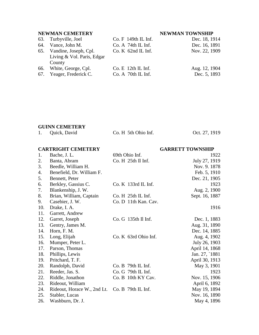# **NEWMAN CEMETERY NEWMAN TOWNSHIP**

| 63. Turbyville, Joel       | $Co. F$ 149th IL Inf. | Dec. 18, 1914 |
|----------------------------|-----------------------|---------------|
| 64. Vance, John M.         | $Co. A$ 74th IL Inf.  | Dec. 16, 1891 |
| 65. Vandine, Joseph, Cpl.  | $Co. K$ 62nd IL Inf.  | Nov. 22, 1909 |
| Living & Vol. Paris, Edgar |                       |               |
| County                     |                       |               |
| 66. White, George, Cpl.    | $Co. E$ 12th IL Inf.  | Aug. 12, 1904 |
| 67. Yeager, Frederick C.   | Co. A 70th IL Inf.    | Dec. 5, 1893  |

# **GUINN CEMETERY**

| Quick, David | Co. H 5th Ohio Inf. | Oct. 27, 1919 |
|--------------|---------------------|---------------|
|              |                     |               |

|     | <b>CARTRIGHT CEMETERY</b>   |                      | <b>GARRETT TOWNSHIP</b> |
|-----|-----------------------------|----------------------|-------------------------|
| 1.  | Bache, J. L.                | 69th Ohio Inf.       | 1922                    |
| 2.  | Banta, Abram                | Co. H 25th Il Inf.   | July 27, 1919           |
| 3.  | Beedle, William H.          |                      | Nov. 9. 1878            |
| 4.  | Benefield, Dr. William F.   |                      | Feb. 5, 1910            |
| 5.  | Bennett, Peter              |                      | Dec. 21, 1905           |
| 6.  | Berkley, Gassius C.         | Co. K 133rd IL Inf.  | 1923                    |
| 7.  | Blankenship, J. W.          |                      | Aug. 2, 1900            |
| 8.  | Brian, William, Captain     | Co. H 25th IL Inf.   | Sept. 16, 1887          |
| 9.  | Casebier, J. W.             | Co. D 11th Kan. Cav. |                         |
| 10. | Drake, I. A.                |                      | 1916                    |
| 11. | Garrett, Andrew             |                      |                         |
| 12. | Garret, Joseph              | Co. G 135th Il Inf.  | Dec. 1, 1883            |
| 13. | Gentry, James M.            |                      | Aug. 31, 1890           |
| 14. | Horn, F. M.                 |                      | Dec. 14, 1885           |
| 15. | Long, Elijah                | Co. K 63rd Ohio Inf. | Aug. 4, 1902            |
| 16. | Mumper, Peter L.            |                      | July 26, 1903           |
| 17. | Parson, Thomas              |                      | April 14, 1868          |
| 18. | Phillips, Lewis             |                      | Jan. 27, `1881          |
| 19. | Pritchard, T. F.            |                      | April 30, 1913          |
| 20. | Randolph, David             | Co. B 79th IL Inf.   | May 3, 1901             |
| 21. | Reeder, Jas. S.             | Co. G 79th IL Inf.   | 1923                    |
| 22. | Riddle, Jonathon            | Co. B 10th KY Cav.   | Nov. 15, 1906           |
| 23. | Rideout, William            |                      | April 6, 1892           |
| 24. | Rideout, Horace W., 2nd Lt. | Co. B 79th IL Inf.   | May 19, 1894            |
| 25. | Stabler, Lucas              |                      | Nov. 16, 1890           |
| 26. | Washburn, Dr. J.            |                      | May 4, 1896             |
|     |                             |                      |                         |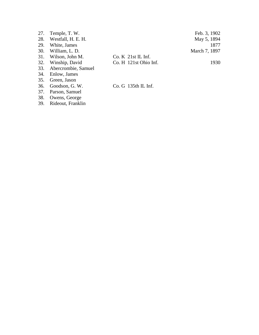|     | 27. Temple, T. W.       |                       | Feb. 3, 1902  |
|-----|-------------------------|-----------------------|---------------|
| 28. | Westfall, H. E. H.      |                       | May 5, 1894   |
|     | 29. White, James        |                       | 1877          |
|     | 30. William, L. D.      |                       | March 7, 1897 |
| 31. | Wilson, John M.         | $Co. K$ 21st IL Inf.  |               |
|     | 32. Winship, David      | Co. H 121st Ohio Inf. | 1930          |
|     | 33. Abercrombie, Samuel |                       |               |
|     | 34. Enlow, James        |                       |               |
|     | 35. Green, Jason        |                       |               |
|     | 36. Goodson, G. W.      | Co. G 135th IL Inf.   |               |

37. Parson, Samuel

38. Owens, George

39. Rideout, Franklin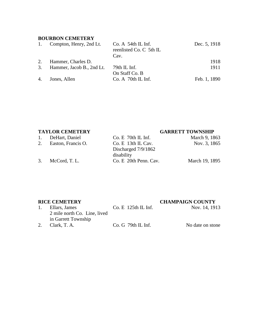# **BOURBON CEMETERY**

| 1. | Compton, Henry, 2nd Lt.   | Co. A. 54th IL Inf.<br>reenlisted Co. C 5th IL | Dec. 5, 1918 |
|----|---------------------------|------------------------------------------------|--------------|
|    |                           | Cav.                                           |              |
| 2. | Hammer, Charles D.        |                                                | 1918         |
| 3. | Hammer, Jacob B., 2nd Lt. | 79th IL Inf.                                   | 1911         |
|    |                           | On Staff Co. B                                 |              |
|    | 4. Jones, Allen           | $Co. A$ 70th IL Inf.                           | Feb. 1, 1890 |

# **TAYLOR CEMETERY GARRETT TOWNSHIP**

|    | 1. DeHart, Daniel     | $Co. E$ 70th IL Inf.  | March 9, 1863  |
|----|-----------------------|-----------------------|----------------|
|    | 2. Easton, Francis O. | $Co. E$ 13th IL Cav.  | Nov. 3, 1865   |
|    |                       | Discharged $7/9/1862$ |                |
|    |                       | disability            |                |
| 3. | McCord, T. L.         | Co. E 20th Penn. Cav. | March 19, 1895 |
|    |                       |                       |                |

**RICE CEMETERY**<br>
1. Ellars, James Co. E 125th IL Inf. Nov. 14, 1913 1. Ellars, James 2 mile north Co. Line, lived in Garrett Township  $Co. E$  125th IL Inf. 2. Clark, T. A. Co. G 79th IL Inf. No date on stone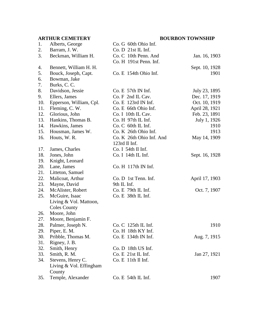# **ARTHUR CEMETERY BOURBON TOWNSHIP**

| 1.  | Alberts, George         | Co. G 60th Ohio Inf.     |                |
|-----|-------------------------|--------------------------|----------------|
| 2.  | Barram, J. W.           | Co. D 21st IL Inf.       |                |
| 3.  | Beckman, William H.     | Co. C 10th Penn. And     | Jan. 16, 1903  |
|     |                         | Co. H 191st Penn. Inf.   |                |
| 4.  | Bennett, William H. H.  |                          | Sept. 10, 1928 |
| 5.  | Bouck, Joseph, Capt.    | Co. E 154th Ohio Inf.    | 1901           |
| 6.  | Bowman, Jake            |                          |                |
| 7.  | Burks, C. C.            |                          |                |
| 8.  | Davidson, Jessie        | Co. E 57th IN Inf.       | July 23, 1895  |
| 9.  | Ellers, James           | Co. F 2nd IL Cav.        | Dec. 17, 1919  |
| 10. | Epperson, William, Cpl. | Co. E 123rd IN Inf.      | Oct. 10, 1919  |
| 11. | Fleming, C.W.           | Co. E 66th Ohio Inf.     | April 28, 1921 |
| 12. | Glorious, John          | Co. I 10th IL Cav.       | Feb. 23, 1891  |
| 13. | Hankins, Thomas B.      | Co. H 97th IL Inf.       | July 1, 1926   |
| 14. | Hawkins, James          | Co. C 60th IL Inf.       | 1910           |
| 15. | Housman, James W.       | Co. K 26th Ohio Inf.     | 1913           |
| 16. | Houts, W. R.            | Co. K 26th Ohio Inf. And | May 14, 1909   |
|     |                         | 123rd Il Inf.            |                |
| 17. | James, Charles          | Co. I 54th Il Inf.       |                |
| 18. | Jones, John             | Co. I 14th IL Inf.       | Sept. 16, 1928 |
| 19. | Knight, Leonard         |                          |                |
| 20. | Lane, James             | Co. H 117th IN Inf.      |                |
| 21. | Litteton, Samuel        |                          |                |
| 22. | Malicoat, Arthur        | Co. D 1st Tenn. Inf.     | April 17, 1903 |
| 23. | Mayne, David            | 9th IL Inf.              |                |
| 24. | McAlister, Robert       | Co. E 79th IL Inf.       | Oct. 7, 1907   |
| 25. | McGuire, Isaac          | Co. E 38th IL Inf.       |                |
|     | Living & Vol. Mattoon,  |                          |                |
|     | <b>Coles County</b>     |                          |                |
| 26. | Moore, John             |                          |                |
| 27. | Moore, Benjamin F.      |                          |                |
| 28. | Palmer, Joseph N.       | Co. C 125th IL Inf.      | 1910           |
| 29. | Piper, E. M.            | Co. H 18th KY Inf.       |                |
| 30. | Pribble, Thomas M.      | Co. E 134th IN Inf.      | Aug. 7, 1915   |
| 31. | Rigney, J. B.           |                          |                |
| 32. | Smith, Henry            | Co. D 18th US Inf.       |                |
| 33. | Smith, R. M.            | Co. E 21st IL Inf.       | Jan 27, 1921   |
| 34. | Stevens, Henry C.       | Co. E 11th II Inf.       |                |
|     | Living & Vol. Effingham |                          |                |
|     | County                  |                          |                |
| 35. | Temple, Alexander       | $Co. E$ 54th IL Inf.     | 1907           |
|     |                         |                          |                |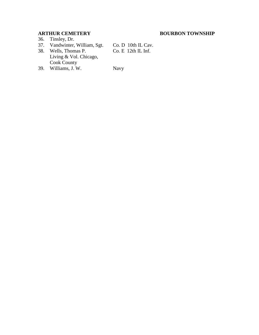36. Tinsley, Dr.

# 37. Vandwinter, William, Sgt. Co. D 10th IL Cav.

38. Wells, Thomas P. Living & Vol. Chicago, Cook County

Co. E 12th IL Inf.

39. Williams, J. W. Navy

# **ARTHUR CEMETERY BOURBON TOWNSHIP**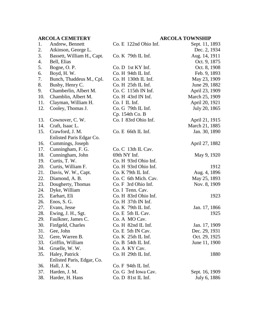# **ARCOLA CEMETERY ARCOLA TOWNSHIP**

| 1.  | Andrew, Bennett            | Co. E 122nd Ohio Inf. | Sept. 11, 1893 |
|-----|----------------------------|-----------------------|----------------|
| 2.  | Atkinson, George L.        |                       | Dec. 2, 1934   |
| 3.  | Bassett, William H., Capt. | $Co. K$ 79th IL Inf.  | Aug. 14, 1911  |
| 4.  | Bell, Elias                |                       | Oct. 9, 1875   |
| 5.  | Bogne, O. P.               | Co. D 1st KY Inf.     | Oct. 8, 1908   |
| 6.  | Boyd, H.W.                 | Co. H. 94th IL Inf.   | Feb. 9, 1893   |
| 7.  | Bunch, Thaddeus M., Cpl.   | Co. H 130th IL Inf.   | May 23, 1909   |
| 8.  | Busby, Henry C.            | Co. H 25th IL Inf.    | June 29, 1882  |
| 9.  | Chamberlin, Albert M.      | Co. C 115th IN Inf.   | April 23, 1909 |
| 10. | Chamblin, Albert M.        | Co. H 43rd IN Inf.    | March 25, 1909 |
| 11. | Clayman, William H.        | Co. I IL Inf.         | April 20, 1921 |
| 12. | Cooley, Thomas J.          | $Co. G$ 79th IL Inf.  | July 20, 1865  |
|     |                            | Cp. 154th Co. B       |                |
| 13. | Cownover, C.W.             | Co. I 83rd Ohio Inf.  | April 21, 1915 |
| 14. | Craft, Isaac L.            |                       | March 21, 1885 |
| 15. | Crawford, J. M.            | Co. E 66th IL Inf.    | Jan. 30, 1890  |
|     | Enlisted Paris Edgar Co.   |                       |                |
| 16. | Cummings, Joseph           |                       | April 27, 1882 |
| 17. | Cunningham, F. G.          | Co. C 13th IL Cav.    |                |
| 18. | Cunningham, John           | 69th NY Inf.          | May 9, 1920    |
| 19. | Curtis, T. W.              | Co. H 93rd Ohio Inf.  |                |
| 20. | Curtis, William F.         | Co. H 93rd Ohio Inf.  | 1912           |
| 21. | Davis, W. W., Capt.        | Co. K 79th IL Inf.    | Aug. 4, 1896   |
| 22. | Diamond, A. B.             | Co. C 6th Mich. Cav.  | May 25, 1893   |
| 23. | Dougherty, Thomas          | Co. F 3rd Ohio Inf.   | Nov. 8, 1909   |
| 24. | Dyke, William              | Co. I Tenn. Cav.      |                |
| 25. | Earhart, Eli               | Co. H 83rd Ohio Inf.  | 1923           |
| 26. | Enos, S. G.                | Co. H 37th IN Inf.    |                |
| 27. | Evans, Jesse               | $Co. K$ 79th IL Inf.  | Jan. 17, 1866  |
| 28. | Ewing, J. H., Sgt.         | Co. E 5th IL Cav.     | 1925           |
| 29. | Faulkner, James C.         | Co. A MO Cav.         |                |
| 30. | Finfgeld, Charles          | Co. H 82nd IL Inf.    | Jan. 17, 1909  |
| 31. | Gee, John                  | Co. E 5th IN Cav.     | Dec. 29, 1931  |
| 32. | Gere, Warren B.            | $Co. K$ 25th IL Inf.  | Oct. 29, 1925  |
| 33. | Griffin, William           | $Co. B$ 54th IL Inf.  | June 11, 1900  |
| 34. | Gruelle, W. W.             | Co. A KY Cav.         |                |
| 35. | Haley, Patrick             | $Co. H$ 29th IL Inf.  | 1880           |
|     | Enlisted Paris, Edgar, Co. |                       |                |
| 36. | Hall, J. K.                | Co. F 94th IL Inf.    |                |
| 37. | Harden, J. M.              | Co. G 3rd Iowa Cav.   | Sept. 16, 1909 |
| 38. | Harder, H. Hans            | Co. D 81st IL Inf.    | July 6, 1886   |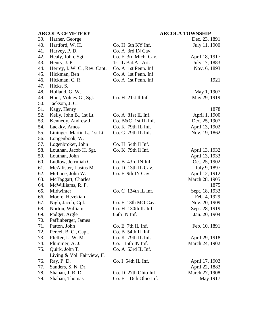# **ARCOLA CEMETERY ARCOLA TOWNSHIP**

| 39. | Harner, George               |                       | Dec. 23, 1891  |
|-----|------------------------------|-----------------------|----------------|
| 40. | Hartford, W. H.              | Co. H 6th KY Inf.     | July 11, 1900  |
| 41. | Harvey, P. D.                | Co. A 3rd IN Cav.     |                |
| 42. | Healy, John, Sgt.            | Co. F 3rd Mich. Cav.  | April 18, 1917 |
| 43. | Henry, J. P.                 | 1st IL Bat.A Art.     | July 17, 1883  |
| 44. | Herrey, I. W. C., Rev. Capt. | Co. A 1st Penn. Inf.  | Nov. 6, 1893   |
| 45. | Hickman, Ben                 | Co. A 1st Penn. Inf.  |                |
| 46. | Hickman, C. R.               | Co. A 1st Penn. Inf.  | 1921           |
| 47. | Hicks, S.                    |                       |                |
| 48. | Holland, G. W.               |                       | May 1, 1907    |
| 49. | Hunt, Volney G., Sgt.        | Co. H 21st Il Inf.    | May 29, 1919   |
| 50. | Jackson, J. C.               |                       |                |
| 51. | Kagy, Henry                  |                       | 1878           |
| 52. | Kelly, John B., 1st Lt.      | Co. A 81st IL Inf.    | April 1, 1900  |
| 53. | Kennedy, Andrew J.           | Co. B&C 1st IL Inf.   | Dec. 25, 1907  |
| 54. | Lackky, Amos                 | $Co. K$ 79th IL Inf.  | April 13, 1902 |
| 55. | Lininger, Martin L., 1st Lt. | $Co. G$ 79th IL Inf.  | Nov. 19, 1862  |
| 56. | Longenbook, W.               |                       |                |
| 57. | Logenbroker, John            | Co. H 54th Il Inf.    |                |
| 58. | Louthan, Jacob H. Sgt.       | $Co. K$ 79th Il Inf.  | April 13, 1932 |
| 59. | Louthan, John                |                       | April 13, 1933 |
| 60. | Ludlow, Jerrmiah C.          | $Co. B$ 43rd IN Inf.  | Oct. 25, 1902  |
| 61. | McAllister, Lusius M.        | Co. D 13th IL Cav.    | July 9, 1897   |
| 62. | McLane, John W.              | Co. F 9th IN Cav.     | April 12, 1912 |
| 63. | McTaggart, Charles           |                       | March 28, 1905 |
| 64. | McWilliams, R. P.            |                       | 1875           |
| 65. | Midwinter                    | Co. C 134th IL Inf.   | Sept. 18, 1933 |
| 66. | Moore, Hezekiah              |                       | Feb. 4, 1929   |
| 67. | Nigh, Jacob, Cpl.            | Co. F 13th MO Cav.    | Nov. 20, 1909  |
| 68. | Norton, William              | Co. H 130th IL Inf.   | Sept. 28, 1919 |
| 69. | Padget, Argle                | 66th IN Inf.          | Jan. 20, 1904  |
| 70. | Paffinberger, James          |                       |                |
| 71. | Patton, John                 | $Co. E$ 7th IL Inf.   | Feb. 10, 1891  |
| 72. | Percel, B. C., Capt.         | Co. B 54th IL Inf.    |                |
| 73. | Pfelfer, L. W. M.            | Co. K 79th IL Inf.    | April 29, 1918 |
| 74. | Plummer, A. J.               | Co. 15th IN Inf.      | March 24, 1902 |
| 75. | Quirk, John T.               | Co. A 53rd IL Inf.    |                |
|     | Living & Vol. Fairview, IL   |                       |                |
| 76. | Ray, P. D.                   | $Co. I$ 54th IL Inf.  | April 17, 1903 |
| 77. | Sanders, S. N. Dr.           |                       | April 22, 1883 |
| 78. | Shahan, J. R. D.             | Co. D 27th Ohio Inf.  | March 27, 1908 |
| 79. | Shahan, Thomas               | Co. F 116th Ohio Inf. | May 1917       |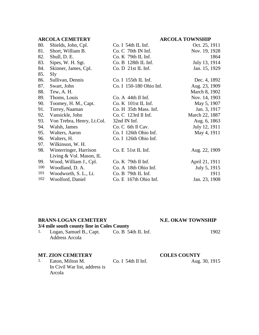## **ARCOLA CEMETERY ARCOLA TOWNSHIP**

| 80. | Shields, John, Cpl.        | $Co. I$ 54th IL Inf.    | Oct. 25, 1911  |
|-----|----------------------------|-------------------------|----------------|
| 81. | Short, William B.          | Co. C 70th IN Inf.      | Nov. 19, 1928  |
| 82. | Shull, D. E.               | $Co. K$ 79th IL Inf.    | 1864           |
| 83. | Sipes, W. H. Sgt.          | Co. B 128th IL Inf.     | July 13, 1914  |
| 84. | Skinner, James, Cpl.       | Co. D 21st IL Inf.      | Jan. 15, 1929  |
| 85. | Sly                        |                         |                |
| 86. | Sullivan, Dennis           | Co. I 155th IL Inf.     | Dec. 4, 1892   |
| 87. | Swart, John                | Co. I 150-180 Ohio Inf. | Aug. 23, 1909  |
| 88. | Tew, A. H.                 |                         | March 8, 1902  |
| 89. | Thoms, Louis               | Co. A. 44th II Inf.     | Nov. 14, 1903  |
| 90. | Toomey, H. M., Capt.       | $Co. K$ 101st IL Inf.   | May 5, 1907    |
| 91. | Torrey, Naaman             | Co. H 35th Mass. Inf.   | Jan. 3, 1917   |
| 92. | Vansickle, John            | $Co. C$ 123rd Il Inf.   | March 22, 1887 |
| 93. | Von Trebra, Henry, Lt.Col. | 32nd IN Inf.            | Aug. 6, 1863   |
| 94. | Walsh, James               | Co. C 6th Il Cav.       | July 12, 1911  |
| 95. | Walters, Aaron             | Co. I 126th Ohio Inf.   | May 4, 1911    |
| 96. | Walters, H.                | Co. I 126th Ohio Inf.   |                |
| 97. | Wilkinson, W. H.           |                         |                |
| 98. | Winterringer, Harrison     | Co. E 51st IL Inf.      | Aug. 22, 1909  |
|     | Living & Vol. Mason, IL    |                         |                |
| 99. | Wood, William J., Cpl.     | $Co. K$ 79th Il Inf.    | April 21, 1911 |
| 100 | Woodland, D. A.            | Co. A 18th Ohio Inf.    | July 5, 1915   |
| 101 | Woodworth, S. L., Lt.      | Co. B 79th IL Inf.      | 1911           |
| 102 | Woolford, Daniel           | Co. E 167th Ohio Inf.   | Jan. 23, 1908  |

### **BRANN-LOGAN CEMETERY N.E. OKAW TOWNSHIP**

# **3/4 mile south county line in Coles County**

1. Logan, Samuel B., Capt. Co. B 54th IL Inf. 1902 Address Arcola

# **MT. ZION CEMETERY**<br>1. Eaton, Milton M. Co. I 54th Il Inf. Aug. Aug.

Eaton, Milton M. In Civil War list, address is Arcola

Aug. 30, 1915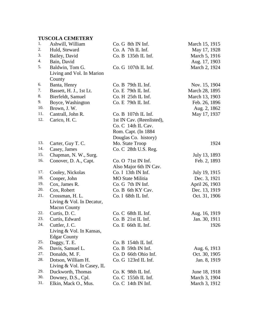| 1.  | Ashwill, William            | Co. G 8th IN Inf.         | March 15, 1915 |
|-----|-----------------------------|---------------------------|----------------|
| 2.  | Huld, Steward               | Co. A 7th IL Inf.         | May 17, 1928   |
| 3.  | Bailey, David               | Co. B 135th IL Inf.       | March 5, 1916  |
| 4.  | Bain, David                 |                           | Aug. 17, 1903  |
| 5.  | Baldwin, Tom G.             | Co. G 107th IL Inf.       | March 2, 1924  |
|     | Living and Vol. In Marion   |                           |                |
|     | County                      |                           |                |
| 6.  | Banta, Henry                | $Co. B$ 79th IL Inf.      | Nov. 15, 1904  |
| 7.  | Bassett, H. J., 1st Lt.     | Co. E 79th IL Inf.        | March 28, 1895 |
| 8.  | Bierfeldt, Samuel           | Co. H 25th IL Inf.        | March 13, 1903 |
| 9.  | Boyce, Washington           | $Co. E$ 79th IL Inf.      | Feb. 26, 1896  |
| 10. | Brown, J. W.                |                           | Aug. 2, 1862   |
| 11. | Cantrall, John R.           | Co. B 107th IL Inf.       | May 17, 1937   |
| 12. | Carico, H. C.               | 1st IN Cav. (Reenlisted), |                |
|     |                             | Co. C 14th IL Cav.        |                |
|     |                             | Rom. Capt. (In 1884       |                |
|     |                             | Douglas Co. history)      |                |
| 13. | Carter, Guy T. C.           | Mo. State Troop           | 1924           |
| 14. | Casey, James                | Co. C 28th U.S. Reg.      |                |
| 15. | Chapman, N. W., Surg.       |                           | July 13, 1893  |
| 16. | Conover, D. A., Capt.       | Co. O 71st IN Inf.        | Feb. 2, 1893   |
|     |                             | Also Major 6th IN Cav.    |                |
| 17. | Cooley, Nickolas            | Co. I 13th IN Inf.        | July 19, 1915  |
| 18. | Cooper, John                | <b>MO</b> State Militia   | Dec. 3, 1921   |
| 19. | Cox, James R.               | Co. G 7th IN Inf.         | April 26, 1903 |
| 20. | Cox, Robert                 | Co. B 6th KY Cav.         | Dec. 13, 1919  |
| 21. | Crossman, H. L.             | Co. I 68th IL Inf.        | Oct. 31, 1906  |
|     | Living $&$ Vol. In Decatur, |                           |                |
|     | <b>Macon County</b>         |                           |                |
| 22. | Curtis, D.C.                | Co. C 68th IL Inf.        | Aug. 16, 1919  |
| 23. | Curtis, Edward              | Co. B 21st IL Inf.        | Jan. 30, 1911  |
| 24. | Cuttler, J.C.               | Co. E 66th IL Inf.        | 1926           |
|     | Living & Vol. In Kansas,    |                           |                |
|     | <b>Edgar County</b>         |                           |                |
| 25. | Daggy, T. E.                | Co. B 154th IL Inf.       |                |
| 26. | Davis, Samuel L.            | Co. B 59th IN Inf.        | Aug. 6, 1913   |
| 27. | Donalds, M. F.              | Co. D 66th Ohio Inf.      | Oct. 30, 1905  |
| 28. | Dotson, William H.          | Co. G 123rd IL Inf.       | Jan. 8, 1919   |
|     | Living & Vol. In Casey, IL  |                           |                |
| 29. | Duckworth, Thomas           | $Co. K$ 98th IL Inf.      | June 18, 1918  |
| 30. | Downey, D.S., Cpl.          | Co. C 155th IL Inf.       | March 3, 1904  |
| 31. | Elkin, Mack O., Mus.        | Co. C 14th IN Inf.        | March 3, 1912  |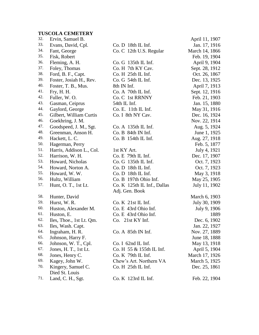| 32. | Ervin, Samuel B.         |                               | April 11, 1907 |
|-----|--------------------------|-------------------------------|----------------|
| 33. | Evans, David, Cpl.       | $Co. D$ 18th IL Inf.          | Jan. 17, 1916  |
| 34. | Fant, George             | Co. C 12th U.S. Regular       | March 14, 1866 |
| 35. | Fisk, Robert             |                               | Feb. 19, 1904  |
| 36. | Fleming, A. H.           | Co. G 135th IL Inf.           | April 9, 1904  |
| 37. | Foley, Thomas            | Co. H 7th KY Cav.             | Sept. 28, 1912 |
| 38. | Ford, B. F., Capt.       | Co. H <sub>25th</sub> IL Inf. | Oct. 26, 1867  |
| 39. | Foster, Josiah H., Rev.  | Co. G 54th IL Inf.            | Dec. 13, 1925  |
| 40. | Foster, T. B., Mus.      | 8th IN Inf.                   | April 7, 1913  |
| 41. | Fry, H. H.               | Co. A 70th IL Inf.            | Sept. 12, 1916 |
| 42. | Fuller, W.O.             | Co. C 1st RRNNY               | Feb. 21, 1903  |
| 43. | Gasman, Ceiprus          | 54th IL Inf.                  | Jan. 15, 1880  |
| 44. | Gaylord, George          | Co. E. 11th IL Inf.           | May 31, 1916   |
| 45. | Gilbert, William Curtis  | Co. I 8th NY Cav.             | Dec. 16, 1924  |
| 46. | Goekhring, J. M.         |                               | Nov. 22, 1914  |
| 47. | Goodspeed, J. M., Sgt.   | Co. A 135th IL Inf.           | Aug. 5, 1924   |
| 48. | Greenman, Anson H.       | Co. B 84th IN Inf.            | June 1, 1925   |
| 49. | Hackett, L. C.           | Co. B 154th IL Inf.           | Aug. 27, 1918  |
| 50. | Hagerman, Perry          |                               | Feb. 5, 1877   |
| 51. | Harris, Addison L., Col. | 1st KY Art.                   | July 4, 1921   |
| 52. | Harrison, W. H.          | $Co. E$ 79th IL Inf.          | Dec. 17, 1907  |
| 53. | Howard, Nicholas         | Co. G 135th IL Inf.           | Oct. 7, 1923   |
| 54. | Howard, Norton A.        | Co. D 18th IL Inf.            | Oct. 7, 1923   |
| 55. | Howard, W.W.             | Co. D 18th IL Inf.            | May 3, 1918    |
| 56. | Hultz, William           | Co. B 197th Ohio Inf.         | May 25, 1905   |
| 57. | Hunt, O. T., 1st Lt.     | Co. K 125th IL Inf., Dallas   | July 11, 1902  |
|     |                          | Adj. Gen. Book                |                |
| 58. | Hunter, David            |                               | March 6, 1903  |
| 59. | Hurst, W. R.             | $Co. K$ 21st IL Inf.          | July 30, 1909  |
| 60. | Huston, Alexander M.     | Co. E 43rd Ohio Inf.          | July 9, 1906   |
| 61. | Huston, E.               | Co. E 43rd Ohio Inf.          | 1889           |
| 62. | Iles, Thoe., 1st Lt. Qm. | Co. 21st KY Inf.              | Dec. 6, 1902   |
| 63. | Iles, Wash. Capt.        |                               | Jan. 22, 1927  |
| 64. | Ingraham, H. R.          | Co. A. 85th IN Inf.           | Nov. 27, 1889  |
| 65. | Johnson, Harry F.        |                               | June 18, 1888  |
| 66. | Johnson, W. T., Cpl.     | Co. I 62nd IL Inf.            | May 13, 1918   |
| 67. | Jones, H. T., 1st Lt.    | Co. H 55 & 155th IL Inf.      | April 5, 1904  |
| 68. | Jones, Henry C.          | $Co. K$ 79th IL Inf.          | March 17, 1926 |
| 69. | Kagey, John W.           | Chew's Art. Northern VA       | March 5, 1925  |
| 70. | Kingery, Samuel C.       | Co. H <sub>25th</sub> IL Inf. | Dec. 25, 1861  |
|     | Died St. Louis           |                               |                |
| 71. | Land, C. H., Sgt.        | Co. K 123rd IL Inf.           | Feb. 22, 1904  |
|     |                          |                               |                |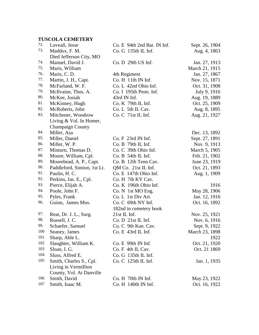| 72.     | Loveall, Jesse              | Co. E 94th 2nd Bat. IN Inf. | Sept. 26, 1904 |
|---------|-----------------------------|-----------------------------|----------------|
| 73.     | Maddox, F. M.               | Co. G 135th IL Inf.         | Aug. 4, 1863   |
|         | Died Jefferson City, MO     |                             |                |
| 74.     | Manuel, David J.            | Co. D 29th US Inf.          | Jan. 27, 1913  |
| 75.     | Maris, William              |                             | March 21, 1915 |
| 76.     | Maris, C. D.                | 4th Regiment                | Jan. 27, 1867  |
| 77.     | Martin, J. H., Capt.        | Co. H 11th IN Inf.          | Nov. 15, 1871  |
| 78.     | McFarland, W. F.            | Co. L 42nd Ohio Inf.        | Oct. 31, 1908  |
| 79.     | McIlvaine, Thos. A.         | Co. I 195th Penn. Inf.      | July 9, 1916   |
| 80.     | McKee, Josiah               | 43rd IN Inf.                | Aug. 19, 1889  |
| 81.     | McKinney, Hugh              | Co. K 79th IL Inf.          | Oct. 25, 1909  |
| 82.     | McRoberts, John             | Co. L 5th IL Cav.           | Aug. 8, 1895   |
| 83.     | Mitchener, Woodrow          | Co. C 71st IL Inf.          | Aug. 21, 1927  |
|         | Living & Vol. In Homer,     |                             |                |
|         | <b>Champaign County</b>     |                             |                |
| 84.     | Miller, Asa                 |                             | Dec. 13, 1892  |
| 85.     | Miller, Daniel              | Co. F. 23rd IN Inf.         | Sept. 27, 1891 |
| 86.     | Miller, W. P.               | Co. B 79th IL Inf.          | Nov. 9, 1913   |
| 87.     | Minturn, Thomas D.          | Co. C 39th Ohio Inf.        | March 5, 1905  |
| 88.     | Moore, William, Cpl.        | $Co. B$ 54th IL Inf.        | Feb. 21, 1902  |
| 89.     | Moorehead, A. P., Capt.     | Co. B 12th Tenn Cav.        | June 23, 1919  |
| 90.     | Paddleford, Simion, 1st Lt. | QM Co. 21st IL Inf.         | Oct. 21, 1893  |
| 91.     | Paulin, H. C.               | Co. E 147th Ohio Inf.       | Aug. 1, 1909   |
| 92.     | Perkins, Jas. E., Cpl.      | Co. H 7th KY Cav.           |                |
| 93.     | Pierce, Elijah A.           | Co. K 196th Ohio Inf.       | 1916           |
| 94.     | Poole, John F.              | Co. N 1st MO Eng.           | May 28, 1906   |
| 95.     | Pyles, Frank                | Co. L 1st Div Art.          | Jan. 12, 1916  |
| 96.     | Guinn, James Mus.           | Co. C 69th NY Inf.          | Oct. 16, 1892  |
|         |                             | 182nd in cemetery book      |                |
| 97.     | Reat, Dr. J. L., Surg.      | 21st IL Inf.                | Nov. 25, 1921  |
| 98.     | Russell, J. C.              | Co. D 21st IL Inf.          | Nov. 6, 1916   |
| 99.     | Schaefer, Samuel            | Co. C 9th Kan. Cav.         | Sept. 9, 1922  |
| 100     | Seaney, James               | Co. E 43rd IL Inf.          | March 23, 1898 |
| 101     | Sharp, Able L.              |                             | 1922           |
| $102\,$ | Slaughter, William K.       | Co. E 99th IN Inf.          | Oct. 21, 1920  |
| 103     | Sloan, I. G.                | Co. F 4th IL Cav.           | Oct. 21 1869   |
| 104     | Sluss, Alfred E.            | Co. G 135th IL Inf.         |                |
| 105     | Smith, Charles S., Cpl.     | Co. C 125th IL Inf.         | Jan. 1, 1935   |
|         | Living in Vermillion        |                             |                |
|         | County, Vol. At Danville    |                             |                |
| 106     | Smith, David                | Co. H 70th IN Inf.          | May 23, 1922   |
| 107     | Smith, Isaac M.             | $Co. H$ 140th IN Inf.       | Oct. 16, 1922  |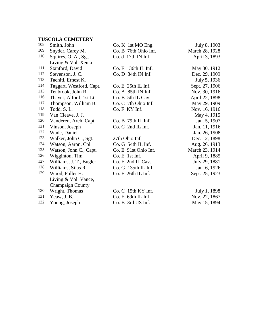| 108 | Smith, John              | Co. K 1st MO Eng.    | July 8, 1903   |
|-----|--------------------------|----------------------|----------------|
| 109 | Snyder, Carey M.         | Co. B 76th Ohio Inf. | March 28, 1928 |
| 110 | Squires, O. A., Sgt.     | Co. d 17th IN Inf.   | April 3, 1893  |
|     | Living & Vol. Xenia      |                      |                |
| 111 | Stanford, David          | Co. F 136th IL Inf.  | May 30, 1912   |
| 112 | Stevenson, J. C.         | Co. D 84th IN Inf.   | Dec. 29, 1909  |
| 113 | Taehitl, Ernest K.       |                      | July 5, 1936   |
| 114 | Taggart, Westford, Capt. | $Co. E$ 25th IL Inf. | Sept. 27, 1906 |
| 115 | Tenbrook, John R.        | Co. A 85th IN Inf.   | Nov. 30, 1916  |
| 116 | Thayer, Alford, 1st Lt.  | Co. B 5th IL Cav.    | April 22, 1898 |
| 117 | Thompson, William B.     | Co. C 7th Ohio Inf.  | May 29, 1909   |
| 118 | Todd, S.L.               | Co. F KY Inf.        | Nov. 16, 1916  |
| 119 | Van Cleave, J. J.        |                      | May 4, 1915    |
| 120 | Vanderen, Arch, Capt.    | $Co. B$ 79th IL Inf. | Jan. 5, 1907   |
| 121 | Vinson, Joseph           | Co. C 2nd IL Inf.    | Jan. 11, 1916  |
| 122 | Wade, Daniel             |                      | Jan. 26, 1908  |
| 123 | Walker, John C., Sgt.    | 27th Ohio Inf.       | Dec. 12, 1898  |
| 124 | Watson, Aaron, Cpl.      | $Co. G$ 54th IL Inf. | Aug. 26, 1913  |
| 125 | Watson, John C., Capt.   | Co. E 91st Ohio Inf. | March 23, 1914 |
| 126 | Wigginton, Tim           | $Co.E$ 1st Inf.      | April 9, 1885  |
| 127 | Williams, J. T., Bugler  | Co. F 2nd IL Cav.    | July 29, 1881  |
| 128 | Williams, Silas R.       | Co. G 135th IL Inf.  | Jan. 6, 1926   |
| 129 | Wood, Fuller H.          | Co. F 26th IL Inf.   | Sept. 25, 1923 |
|     | Living & Vol. Vance,     |                      |                |
|     | <b>Champaign County</b>  |                      |                |
| 130 | Wright, Thomas           | $Co. C$ 15th KY Inf. | July 1, 1898   |
| 131 | Yeaw, J. B.              | Co. E 69th IL Inf.   | Nov. 22, 1867  |
| 132 | Young, Joseph            | Co. B 3rd US Inf.    | May 15, 1894   |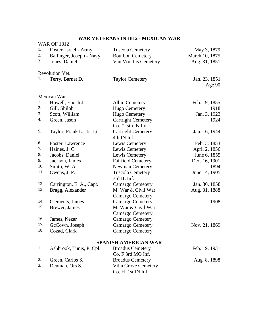# **WAR VETERANS IN 1812 - MEXICAN WAR**

|     | <b>WAR OF 1812</b>        |                                   |                |
|-----|---------------------------|-----------------------------------|----------------|
| 1.  | Foster, Israel - Army     | <b>Tuscola Cemetery</b>           | May 3, 1879    |
| 2.  | Ballinger, Joseph - Navy  | <b>Bourbon Cemetery</b>           | March 10, 1875 |
| 3.  | Jones, Daniel             | Van Voorhis Cemetery              | Aug. 31, 1851  |
|     | Revolution Vet.           |                                   |                |
| 1.  | Terry, Barnet D.          | <b>Taylor Cemetery</b>            | Jan. 23, 1851  |
|     |                           |                                   | Age $90$       |
|     | Mexican War               |                                   |                |
| 1.  | Howell, Enoch J.          | <b>Albin Cemetery</b>             | Feb. 19, 1855  |
| 2.  | Gill, Shiloh              | <b>Hugo Cemetery</b>              | 1918           |
| 3.  | Scott, William            | Hugo Cemetery                     | Jan. 3, 1923   |
| 4.  | Green, Jason              | <b>Cartright Cemetery</b>         | 1924           |
|     |                           | $Co.$ # 5th IN Inf.               |                |
| 5.  | Taylor, Frank L., 1st Lt. | <b>Cartright Cemetery</b>         | Jan. 16, 1944  |
|     |                           | 4th IN Inf.                       |                |
| 6.  | Foster, Lawrence          | Lewis Cemetery                    | Feb. 3, 1853   |
| 7.  | Haines, J. C.             | Lewis Cemetery                    | April 2, 1856  |
| 8.  | Jacobs, Daniel            | Lewis Cemetery                    | June 6, 1855   |
| 9.  | Jackson, James            | <b>Fairfield Cemetery</b>         | Dec. 16, 1901  |
| 10. | Smith, W. A.              | <b>Newman Cemetery</b>            | 1894           |
| 11. | Owens, J. P.              | <b>Tuscola Cemetery</b>           | June 14, 1905  |
|     |                           | 3rd IL Inf.                       |                |
| 12. | Carrington, E. A., Capt.  | <b>Camargo Cemetery</b>           | Jan. 30, 1858  |
| 13. | Bragg, Alexander          | M. War & Civil War                | Aug. 31, 1888  |
|     |                           | <b>Camargo Cemetery</b>           |                |
| 14. | Clements, James           | <b>Camargo Cemetery</b>           | 1908           |
| 15. | Brewer, James             | M. War & Civil War                |                |
|     |                           | <b>Camargo Cemetery</b>           |                |
| 16. | James, Nezar              | <b>Camargo Cemetery</b>           |                |
| 17. | GcCown, Joseph            | <b>Camargo Cemetery</b>           | Nov. 21, 1869  |
| 18. | Cozad, Clark              | <b>Camargo Cemetery</b>           |                |
|     |                           | <b>SPANISH AMERICAN WAR</b>       |                |
| 1.  | Ashbrook, Tunis, P. Cpl.  | <b>Broadus Cemetery</b>           | Feb. 19, 1931  |
|     |                           | $C$ $\Gamma$ $(1)$ $\Gamma$ $(1)$ |                |

|    |                     | Co. F 3rd MO Inf.       |              |
|----|---------------------|-------------------------|--------------|
|    | 2. Green, Carlos S. | <b>Broadus Cemetery</b> | Aug. 8, 1898 |
| 3. | Denman, Ors S.      | Villa Grove Cemetery    |              |
|    |                     | Co. H 1st IN Inf.       |              |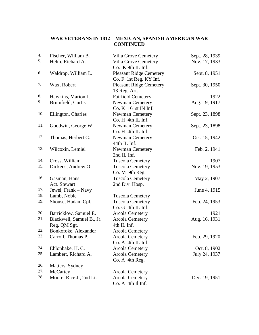# **WAR VETERANS IN 1812 – MEXICAN, SPANISH AMERICAN WAR CONTINUED**

| 4.  | Fischer, William B.       | Villa Grove Cemetery           | Sept. 28, 1939 |
|-----|---------------------------|--------------------------------|----------------|
| 5.  | Helm, Richard A.          | Villa Grove Cemetery           | Nov. 17, 1933  |
|     |                           | Co. K 9th IL Inf.              |                |
| 6.  | Waldrop, William L.       | <b>Pleasant Ridge Cemetery</b> | Sept. 8, 1951  |
|     |                           | Co. F 1st Reg. KY Inf.         |                |
| 7.  | Wax, Robert               | <b>Pleasant Ridge Cemetery</b> | Sept. 30, 1950 |
|     |                           | 13 Reg. Art.                   |                |
| 8.  | Hawkins, Marion J.        | <b>Fairfield Cemetery</b>      | 1922           |
| 9.  | Brumfield, Curtis         | <b>Newman Cemetery</b>         | Aug. 19, 1917  |
|     |                           | Co. K 161st IN Inf.            |                |
| 10. | Ellington, Charles        | <b>Newman Cemetery</b>         | Sept. 23, 1898 |
|     |                           | Co. H 4th IL Inf.              |                |
| 11. | Goodwin, George W.        | <b>Newman Cemetery</b>         | Sept. 23, 1898 |
|     |                           | Co. H 4th IL Inf.              |                |
| 12. | Thomas, Herbert C.        | <b>Newman Cemetery</b>         | Oct. 15, 1942  |
|     |                           | 44th IL Inf.                   |                |
| 13. | Wilcoxin, Lemiel          | <b>Newman Cemetery</b>         | Feb. 2, 1941   |
|     |                           | 2nd IL Inf.                    |                |
| 14. | Cross, William            | <b>Tuscola Cemetery</b>        | 1907           |
| 15. | Dickens, Andrew O.        | <b>Tuscola Cemetery</b>        | Nov. 19, 1953  |
|     |                           | Co. M 9th Reg.                 |                |
| 16. | Gasman, Hans              | <b>Tuscola Cemetery</b>        | May 2, 1907    |
|     | Act. Stewart              | 2nd Div. Hosp.                 |                |
| 17. | Jewel, Frank - Navy       |                                | June 4, 1915   |
| 18. | Lamb, Noble               | <b>Tuscola Cemetery</b>        |                |
| 19. | Shouse, Hadan, Cpl.       | <b>Tuscola Cemetery</b>        | Feb. 24, 1953  |
|     |                           | Co. G 4th IL Inf.              |                |
| 20. | Barricklow, Samuel E.     | <b>Arcola Cemetery</b>         | 1921           |
| 21. | Blackwell, Samuel B., Jr. | <b>Arcola Cemetery</b>         | Aug. 16, 1931  |
|     | Reg. QM Sgt.              | 4th IL Inf.                    |                |
| 22. | Bonkofoke, Alexander      | <b>Arcola Cemetery</b>         |                |
| 23. | Carroll, Thomas P.        | <b>Arcola Cemetery</b>         | Feb. 29, 1920  |
|     |                           | Co. A 4th IL Inf.              |                |
| 24. | Ehlonbake, H. C.          | <b>Arcola Cemetery</b>         | Oct. 8, 1902   |
| 25. | Lambert, Richard A.       | <b>Arcola Cemetery</b>         | July 24, 1937  |
|     |                           | Co. A 4th Reg.                 |                |
| 26. | Matters, Sydney           |                                |                |
| 27. | McCartey                  | <b>Arcola Cemetery</b>         |                |
| 28. | Moore, Rice J., 2nd Lt.   | <b>Arcola Cemetery</b>         | Dec. 19, 1951  |
|     |                           | Co. A 4th Il Inf.              |                |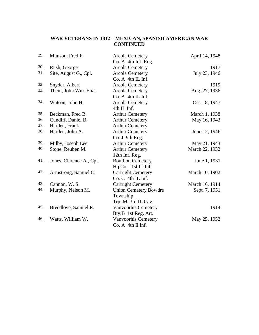# **WAR VETERANS IN 1812 – MEXICAN, SPANISH AMERICAN WAR CONTINUED**

| 29. | Munson, Fred F.          | <b>Arcola Cemetery</b>       | April 14, 1948 |
|-----|--------------------------|------------------------------|----------------|
|     |                          | Co. A 4th Inf. Reg.          |                |
| 30. | Rush, George             | <b>Arcola Cemetery</b>       | 1917           |
| 31. | Site, August G., Cpl.    | <b>Arcola Cemetery</b>       | July 23, 1946  |
|     |                          | Co. A 4th IL Inf.            |                |
| 32. | Snyder, Albert           | <b>Arcola Cemetery</b>       | 1919           |
| 33. | Thein, John Wm. Elias    | <b>Arcola Cemetery</b>       | Aug. 27, 1936  |
|     |                          | Co. A 4th IL Inf.            |                |
| 34. | Watson, John H.          | <b>Arcola Cemetery</b>       | Oct. 18, 1947  |
|     |                          | 4th IL Inf.                  |                |
| 35. | Beckman, Fred B.         | <b>Arthur Cemetery</b>       | March 1, 1938  |
| 36. | Cundiff, Daniel B.       | <b>Arthur Cemetery</b>       | May 16, 1943   |
| 37. | Harden, Frank            | <b>Arthur Cemetery</b>       |                |
| 38. | Harden, John A.          | <b>Arthur Cemetery</b>       | June 12, 1946  |
|     |                          | Co. J 9th Reg.               |                |
| 39. | Milby, Joseph Lee        | <b>Arthur Cemetery</b>       | May 21, 1943   |
| 40. | Stone, Reuben M.         | <b>Arthur Cemetery</b>       | March 22, 1932 |
|     |                          | 12th Inf. Reg.               |                |
| 41. | Jones, Clarence A., Cpl. | <b>Bourbon Cemetery</b>      | June 1, 1931   |
|     |                          | Hq.Co. 1st IL Inf.           |                |
| 42. | Armstrong, Samuel C.     | <b>Cartright Cemetery</b>    | March 10, 1902 |
|     |                          | Co. C 4th IL Inf.            |                |
| 43. | Cannon, W. S.            | <b>Cartright Cemetery</b>    | March 16, 1914 |
| 44. | Murphy, Nelson M.        | <b>Union Cemetery Bowdre</b> | Sept. 7, 1951  |
|     |                          | Township                     |                |
|     |                          | Trp. M 3rd IL Cav.           |                |
| 45. | Breedlove, Samuel R.     | Vanvoorhis Cemetery          | 1914           |
|     |                          | Bty.B 1st Reg. Art.          |                |
| 46. | Watts, William W.        | Vanvoorhis Cemetery          | May 25, 1952   |
|     |                          | Co. A 4th Il Inf.            |                |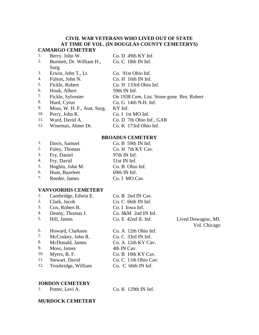# **CIVIL WAR VETERANS WHO LIVED OUT OF STATE AT TIME OF VOL. (IN DOUGLAS COUNTY CEMETERYS) CAMARGO CEMETERY**

| 1.  | Berry, John W.              | Co. D 49th KY Inf.                         |
|-----|-----------------------------|--------------------------------------------|
| 2.  | Burtnett, Dr. William H.,   | $Co. C$ 18th IN Inf.                       |
|     | Surg.                       |                                            |
| 3.  | Erwin, John T., Lt.         | Co. 91st Ohio Inf.                         |
| 4.  | Fulton, John N.             | Co. H 16th IN Inf.                         |
| 5.  | Fickle, Robert              | Co. H 133rd Ohio Inf.                      |
| 6.  | Houk, Albert                | 59th IN Inf.                               |
| 7.  | Fickle, Sylvester           | On 1938 Cem. List. Stone gone. Bro. Robert |
| 8.  | Hurd, Cyrus                 | Co. G 14th N.H. Inf.                       |
| 9.  | Moss, W. H. F., Asst. Surg. | KY Inf.                                    |
| 10. | Perry, John R.              | Co. I 1st MO Inf.                          |
| 11. | Ward, David A.              | Co. D 7th Ohio Inf., GAR                   |
| 12. | Wiseman, Abner Dr.          | Co. K 173rd Ohio Inf.                      |

# **BROADUS CEMETERY**

| 1. | Davis, Samuel   | Co. B 59th IN Inf. |
|----|-----------------|--------------------|
| 2. | Foley, Thomas   | Co. H 7th KY Cav.  |
| 3. | Fry, Daniel     | 97th IN Inf.       |
| 4. | Fry, David      | 51st IN Inf.       |
| 5. | Hogbin, John M. | Co. B Ohio Inf.    |
| 6. | Hunt, Bazeleet  | 69th IN Inf.       |
| 7. | Reeder, James   | Co. I MO Cav.      |
|    |                 |                    |

# **VANVOORHIS CEMETERY**

| 1. | Cambridge, Edwin E. | Co. B 2nd IN Cav.    |
|----|---------------------|----------------------|
| 2. | Clark, Jacob        | Co. C 66th IN Inf.   |
| 3. | Cox, Robert B.      | Co. I Iowa Inf.      |
| 4. | Denny, Thomas J.    | Co. I&M 2nd IN Inf.  |
| 5. | Hill, James         | $Co. E$ 42nd IL Inf. |
| 6. | Howard, Clarkson    | Co. A 12th Ohio Inf. |
| 7. | McCoskey, John R.   | Co. C. 33rd IN Inf.  |
| 8. | McDonald, James     | Co. A 12th KY Cav.   |

- 9. Moss, James 4th IN Cav.
- 
- 11. Stewart, David Co. C 11th Ohio Cav.
- 

10. Myers, B. F. Co. B 10th KY Cav.

12. Troubridge, William Co. C 66th IN Inf.

# **JORDON CEMETERY**

| Potter, Levi A. |  | $Co. K$ 129th IN Inf. |  |  |
|-----------------|--|-----------------------|--|--|
|-----------------|--|-----------------------|--|--|

# Lived Dowagiac, MI. Vol. Chicago

## **MURDOCK CEMETERY**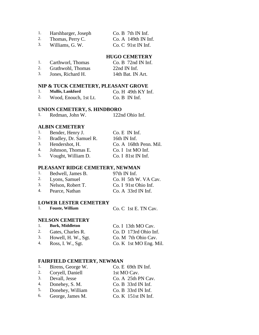- 1. Harshbarger, Joseph Co. B 7th IN Inf.
	-
- 2. Thomas, Perry C. Co. A 149th IN Inf. 3. Williams, G. W. Co. C 91st IN Inf.

# **HUGO CEMETERY**

| 1. | Carthworl, Thomas | $Co. B$ 72nd IN Inf.    |
|----|-------------------|-------------------------|
| 2. | Grathwohl, Thomas | $22nd \mathrm{IN}$ Inf. |
| 3. | Jones, Richard H. | 14th Bat. IN Art.       |

### **NIP & TUCK CEMETERY, PLEASANT GROVE**

|    | <b>Mullis, Lankford</b> | $Co. H$ 49th KY Inf. |
|----|-------------------------|----------------------|
| 2. | Wood, Enouch, 1st Lt.   | $Co. B$ IN Inf.      |

# **UNION CEMETERY, S. HINDBORO**

1. Redman, John W. 122nd Ohio Inf.

## **ALBIN CEMETERY**

|    | Bender, Henry J.       | $Co. E$ IN Inf. |  |
|----|------------------------|-----------------|--|
| 2. | Bradley, Dr. Samuel R. | 16th IN Inf.    |  |
|    |                        |                 |  |

- 3. Hendershot, H. Co. A 168th Penn. Mil.
- 4. Johnson, Thomas E. Co. I 1st MO Inf.
- 5. Vought, William D. Co. I 81st IN Inf.

### **PLEASANT RIDGE CEMETERY, NEWMAN**

|  | Bedwell, James B. | 97th IN Inf. |
|--|-------------------|--------------|
|  |                   |              |

- 2. Lyons, Samuel Co. H 5th W. VA Cav.<br>
3. Nelson, Robert T. Co. I 91st Ohio Inf.
- 3. Nelson, Robert T. Co. I 91st Ohio Inf.<br>4. Pearce. Nathan Co. A 33rd IN Inf. 4. Pearce, Nathan Co. A 33rd IN Inf.

## **LOWER LESTER CEMETERY**

| <b>Fouste, William</b> | Co. C 1st E. TN Cav. |
|------------------------|----------------------|
|------------------------|----------------------|

### **NELSON CEMETERY**

| 1. | <b>Burk, Middleton</b> | Co. I 13th MO Cav.     |
|----|------------------------|------------------------|
| 2. | Gates, Charles R.      | Co. D 173rd Ohio Inf.  |
| 3. | Howell, H. W., Sgt.    | Co. M 7th Ohio Cav.    |
| 4. | Ross, I. W., Sgt.      | Co. K 1st MO Eng. Mil. |

## **FAIRFIELD CEMETERY, NEWMAN**

| 1. | Birens, George W. | Co. E 69th IN Inf.  |
|----|-------------------|---------------------|
| 2. | Coryell, Daniell  | 1st MO Cav.         |
| 3. | Devall, Jesse     | Co. A 25th PN Cav.  |
| 4. | Donehey, S. M.    | Co. B 33rd IN Inf.  |
| 5. | Donehey, William  | Co. B 33rd IN Inf.  |
| 6. | George, James M.  | Co. K 151st IN Inf. |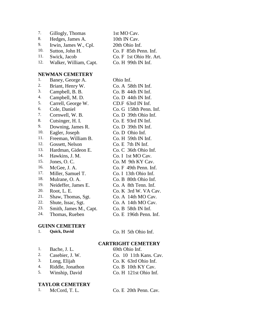| 7.  | Gillogly, Thomas       | 1st MO Cav.             |
|-----|------------------------|-------------------------|
| 8.  | Hedges, James A.       | 10th IN Cav.            |
| 9.  | Irwin, James W., Cpl.  | 20th Ohio Inf.          |
| 10. | Sutton, John H.        | Co. F 85th Penn. Inf.   |
| 11. | Swick, Jacob           | Co. F 1st Ohio Hr. Art. |
| 12. | Walker, William, Capt. | Co. H 99th IN Inf.      |

### **NEWMAN CEMETERY**

| 1.  | Baney, George A.       | Ohio Inf.                |
|-----|------------------------|--------------------------|
| 2.  | Briant, Henry W.       | Co. A 58th IN Inf.       |
| 3.  | Campbell, B. B.        | $Co. B$ 44th IN Inf.     |
| 4.  | Campbell, M. D.        | $Co. D$ 44th IN Inf.     |
| 5.  | Carrell, George W.     | CD.F 63rd IN Inf.        |
| 6.  | Cole, Daniel           | Co. G 158th Penn. Inf.   |
| 7.  | Cornwell, W. B.        | Co. D 39th Ohio Inf.     |
| 8.  | Cutsinger, H. I.       | $Co. E$ 93rd IN Inf.     |
| 9.  | Downing, James R.      | Co. D 39th IN Inf.       |
| 10. | Eagler, Joseph         | Co. D Ohio Inf.          |
| 11. | Freeman, William B.    | $Co. H$ 59th IN Inf.     |
| 12. | Gossett, Nelson        | $Co. E$ 7th IN Inf.      |
| 13. | Hardman, Gideon E.     | Co. C 36th Ohio Inf.     |
| 14. | Hawkins, J. M.         | Co. I 1st MO Cav.        |
| 15. | Jones, O.C.            | Co. M 9th KY Cav.        |
| 16. | McGee, J. A.           | Co. F. 49th Penn. Inf.   |
| 17. | Miller, Samuel T.      | Co. I 13th Ohio Inf.     |
| 18. | Mulrane, O. A.         | Co. B 80th Ohio Inf.     |
| 19. | Neideffer, James E.    | Co. A 8th Tenn. Inf.     |
| 20. | Root, L. E.            | Co. K 3rd W. VA Cav.     |
| 21. | Shaw, Thomas, Sgt.     | Co. A 14th MO Cav.       |
| 22. | Shute, Issac, Sgt.     | Co. A 14th MO Cav.       |
| 23. | Smith, James M., Capt. | Co. B 58th IN Inf.       |
| 24. | Thomas, Rueben         | $Co. E$ 196th Penn. Inf. |

# **GUINN CEMETERY**<br>1. **Quick, David**

1. **Quick, David** Co. H 5th Ohio Inf.

# **CARTRIGHT CEMETERY**

| 1. | Bache, J. L.     | 69th Ohio Inf.         |
|----|------------------|------------------------|
| 2. | Casebier, J. W.  | Co. 10 11th Kans. Cav. |
| 3. | Long, Elijah     | Co. K 63rd Ohio Inf.   |
| 4. | Riddle, Jonathon | $Co. B$ 10th KY Cav.   |

- 
- 4. Riddle, Jonathon Co. B 10th KY Cav.<br>5. Winship, David Co. H 121st Ohio Inf
- 5. Winship, David Co. H 121st Ohio Inf.

# **TAYLOR CEMETERY**

1. McCord, T. L. Co. E 20th Penn. Cav.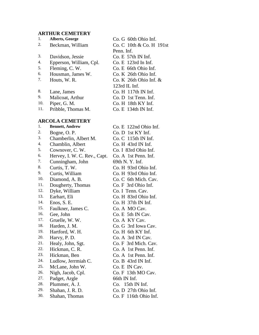### **ARTHUR CEMETERY**

| 1.  | Alberts, George         | Co. G 60th Ohio Inf.     |
|-----|-------------------------|--------------------------|
| 2.  | Beckman, William        | Co. C 10th & Co. H 191st |
|     |                         | Penn. Inf.               |
| 3.  | Davidson, Jessie        | Co. E 57th IN Inf.       |
| 4.  | Epperson, William, Cpl. | $Co. E$ 123rd In Inf.    |
| 5.  | Fleming, C.W.           | Co. E 66th Ohio Inf.     |
| 6.  | Housman, James W.       | Co. K 26th Ohio Inf.     |
| 7.  | Houts, W. R.            | Co. K $26th$ Ohio Inf. & |
|     |                         | $123rd$ IL Inf.          |
| 8.  | Lane, James             | $Co. H$ 117th IN Inf.    |
| 9.  | Malicoat, Arthur        | $Co. D$ 1st Tenn. Inf.   |
| 10. | Piper, G. M.            | $Co. H$ 18th KY Inf.     |
| 11. | Pribble, Thomas M.      | $Co. E$ 134th IN Inf.    |
|     | <b>ARCOLA CEMETERY</b>  |                          |
|     |                         |                          |

# 1. **Bennett, Andrew** Co. E 122nd Ohio Inf. 2. Bogne, O. P. Co. D 1st KY Inf. 3. Chamberlin, Albert M. Co. C 115th IN Inf. 4. Chamblin, Albert Co. H 43rd IN Inf.<br>5. Cownover C W Co. J 83rd Obio Inf. 5. Cownover, C. W. Co. I 83rd Ohio Inf. 6. Hervey, I. W. C. Rev., Capt. Co. A 1st Penn. Inf. 7. Cunningham, John 69th N.Y. Inf. 8. Curtis, T. W. Co. H 93rd Ohio Inf. 9. Curtis, William Co. H 93rd Ohio Inf. 10. Diamond, A. B. Co. C 6th Mich. Cav. 11. Dougherty, Thomas Co. F 3rd Ohio Inf. 12. Dyke, William Co. I Tenn. Cav. 13. Earhart, Eli Co. H 83rd Ohio Inf. 14. Enos, S. E. Co. H 37th IN Inf. 15. Faulkner, James C. Co. A MO Cav. 16. Gee, John Co. E 5th IN Cav. 17. Gruelle, W. W. Co. A KY Cav. 18. Harden, J. M. Co. G 3rd Iowa Cav. 19. Hartford, W. H. Co. H 6th KY Inf.<br>20. Harvy P D Co. A 3rd IN Cav Harvy, P. D. Co. A 3rd IN Cav. 21. Healy, John, Sgt. Co. F 3rd Mich. Cav.<br>22. Hickman, C. R. Co. A 1st Penn Inf Hickman, C. R. Co. A 1st Penn. Inf. 23. Hickman, Ben Co. A 1st Penn. Inf. 24. Ludlow, Jerrmiah C. Co. B 43rd IN Inf. 25. McLane, John W. Co. E IN Cav. 26. Nigh, Jacob, Cpl. Co. F 13th MO Cav. 27. Padget, Argle 66th IN Inf. 28. Plummer, A. J. Co. 15th IN Inf. 29. Shahan, J. R. D. Co. D 27th Ohio Inf. 30. Shahan, Thomas Co. F 116th Ohio Inf.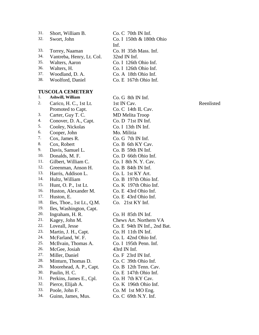| 31. | Short, William B.         | Co. C 70th IN Inf.       |
|-----|---------------------------|--------------------------|
| 32. | Swort, John               | Co. I 150th & 180th Ohio |
|     |                           | Inf.                     |
| 33. | Torrey, Naaman            | Co. H 35th Mass. Inf.    |
| 34. | Vantreba, Henry, Lt. Col. | 32nd IN Inf.             |
| 35. | Walters, Aaron            | Co. I 126th Ohio Inf.    |
| 36. | Walters, H.               | Co. I 126th Ohio Inf.    |
| 37. | Woodland, D. A.           | Co. A 18th Ohio Inf.     |
| 38. | Woolford, Daniel          | Co. E 167th Ohio Inf.    |

1. **Ashwill, William** Co. G 8th IN Inf. 2. Carico, H. C., 1st Lt. Promoted to Capt. 3. Carter, Guy T. C. MD Melita Troop 4. Conover, D. A., Capt. Co. D 71st IN Inf. 5. Cooley, Nickolas Co. I 13th IN Inf. 6. Cooper, John Mo. Militia 7. Cox, James R. Co. G 7th IN Inf. 8. Cox, Robert Co. B 6th KY Cav.<br>
9. Davis Samuel L. Co. B 59th IN Inf Davis, Samuel L. Co. B 59th IN Inf. 10. Donalds, M. F. Co. D 66th Ohio Inf. 11. Gilbert, William C. Co. I 8th N. Y. Cav. 12. Greenman, Anson H. Co. B 84th IN Inf. 13. Harris, Addison L. Co. L 1st KY Art. 14. Hultz, William Co. B 197th Ohio Inf. 15. Hunt, O. P., 1st Lt. Co. K 197th Ohio Inf. 16. Huston, Alexander M. Co. E 43rd Ohio Inf. 17. Huston, E. Co. E 43rd Ohio Inf. 18. Iles, Thoe., 1st Lt., Q.M. Co. 21st KY Inf. 19. Iles, Washington, Capt. 20. Ingraham, H. R. Co. H 85th IN Inf. 21. Kagey, John M. Chews Art. Northern VA 22. Loveall, Jesse Co. E 94th IN Inf., 2nd Bat. 23. Martin, J. H., Capt. Co. H 11th IN Inf. 24. McFarland, W. F. Co. L 42nd Ohio Inf. 25. McIlvain, Thomas A. Co. I 195th Penn. Inf. 26. McGee, Josiah 43rd IN Inf. 27. Miller, Daniel Co. F 23rd IN Inf. 28. Minturn, Thomas D. Co. C 39th Ohio Inf. 29. Moorehead, A. P., Capt. Co. B 12th Tenn. Cav. 30. Paulin, H. C. Co. E 147th Ohio Inf. 31. Perkins, James E., Cpl. Co. H 7th KY Cav. 32. Pierce, Elijah A. Co. K 196th Ohio Inf. 33. Poole, John F. Co. M 1st MO Eng. 34. Guinn, James, Mus. Co. C 69th N.Y. Inf.

1st IN Cav. Co. C 14th IL Cav.

Reenlisted